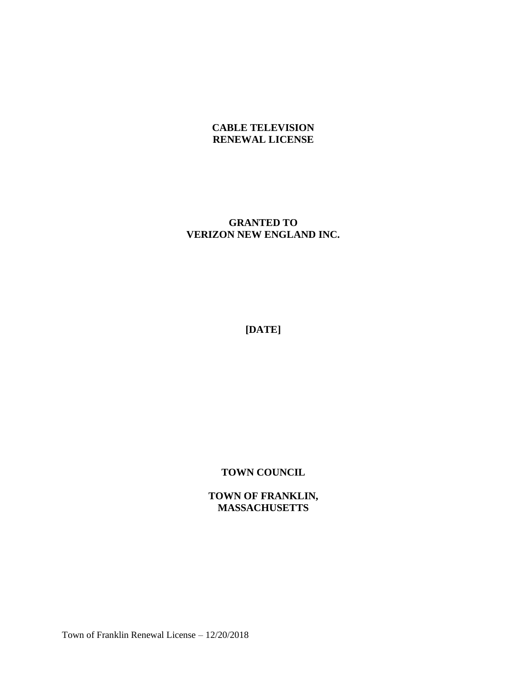## **CABLE TELEVISION RENEWAL LICENSE**

## **GRANTED TO VERIZON NEW ENGLAND INC.**

**[DATE]**

**TOWN COUNCIL**

**TOWN OF FRANKLIN, MASSACHUSETTS**

Town of Franklin Renewal License – 12/20/2018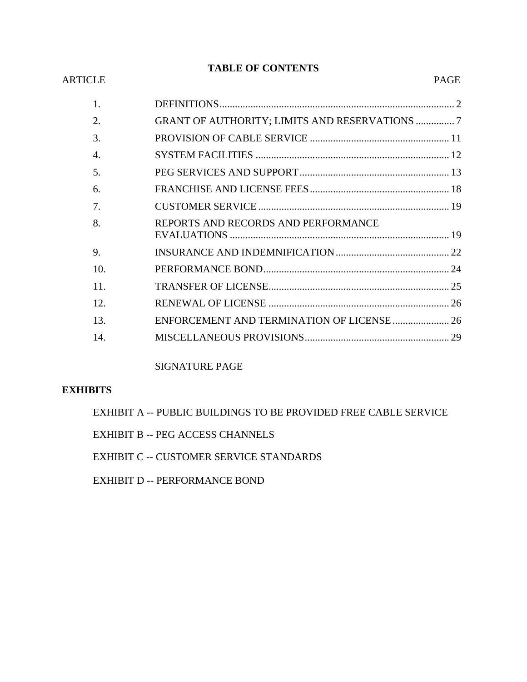# **TABLE OF CONTENTS**

#### ARTICLE PAGE

| 1.               |                                                      |  |
|------------------|------------------------------------------------------|--|
| 2.               | <b>GRANT OF AUTHORITY; LIMITS AND RESERVATIONS 7</b> |  |
| 3.               |                                                      |  |
| $\overline{4}$ . |                                                      |  |
| .5.              |                                                      |  |
| 6.               |                                                      |  |
| 7.               |                                                      |  |
| 8.               | REPORTS AND RECORDS AND PERFORMANCE                  |  |
| 9.               |                                                      |  |
| 10.              |                                                      |  |
| 11.              |                                                      |  |
| 12.              |                                                      |  |
| 13.              | ENFORCEMENT AND TERMINATION OF LICENSE  26           |  |
| 14               |                                                      |  |
|                  |                                                      |  |

SIGNATURE PAGE

### **EXHIBITS**

EXHIBIT A -- PUBLIC BUILDINGS TO BE PROVIDED FREE CABLE SERVICE

EXHIBIT B -- PEG ACCESS CHANNELS

EXHIBIT C -- CUSTOMER SERVICE STANDARDS

EXHIBIT D -- PERFORMANCE BOND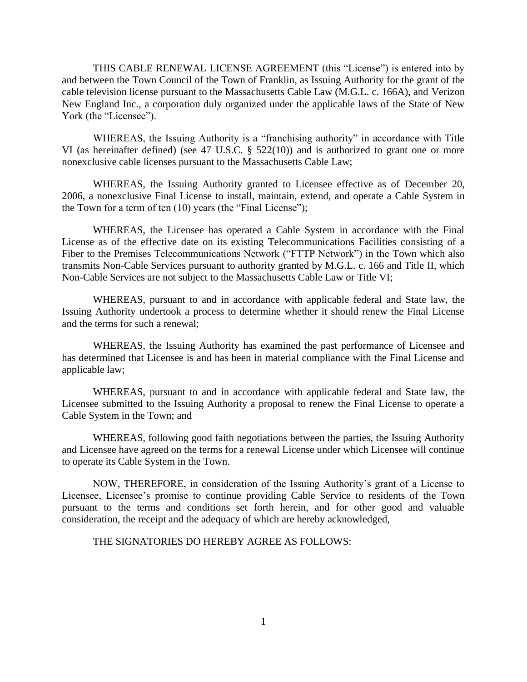THIS CABLE RENEWAL LICENSE AGREEMENT (this "License") is entered into by and between the Town Council of the Town of Franklin, as Issuing Authority for the grant of the cable television license pursuant to the Massachusetts Cable Law (M.G.L. c. 166A), and Verizon New England Inc., a corporation duly organized under the applicable laws of the State of New York (the "Licensee").

WHEREAS, the Issuing Authority is a "franchising authority" in accordance with Title VI (as hereinafter defined) (see 47 U.S.C. § 522(10)) and is authorized to grant one or more nonexclusive cable licenses pursuant to the Massachusetts Cable Law;

WHEREAS, the Issuing Authority granted to Licensee effective as of December 20, 2006, a nonexclusive Final License to install, maintain, extend, and operate a Cable System in the Town for a term of ten (10) years (the "Final License");

WHEREAS, the Licensee has operated a Cable System in accordance with the Final License as of the effective date on its existing Telecommunications Facilities consisting of a Fiber to the Premises Telecommunications Network ("FTTP Network") in the Town which also transmits Non-Cable Services pursuant to authority granted by M.G.L. c. 166 and Title II, which Non-Cable Services are not subject to the Massachusetts Cable Law or Title VI;

WHEREAS, pursuant to and in accordance with applicable federal and State law, the Issuing Authority undertook a process to determine whether it should renew the Final License and the terms for such a renewal;

WHEREAS, the Issuing Authority has examined the past performance of Licensee and has determined that Licensee is and has been in material compliance with the Final License and applicable law;

WHEREAS, pursuant to and in accordance with applicable federal and State law, the Licensee submitted to the Issuing Authority a proposal to renew the Final License to operate a Cable System in the Town; and

WHEREAS, following good faith negotiations between the parties, the Issuing Authority and Licensee have agreed on the terms for a renewal License under which Licensee will continue to operate its Cable System in the Town.

NOW, THEREFORE, in consideration of the Issuing Authority's grant of a License to Licensee, Licensee's promise to continue providing Cable Service to residents of the Town pursuant to the terms and conditions set forth herein, and for other good and valuable consideration, the receipt and the adequacy of which are hereby acknowledged,

THE SIGNATORIES DO HEREBY AGREE AS FOLLOWS: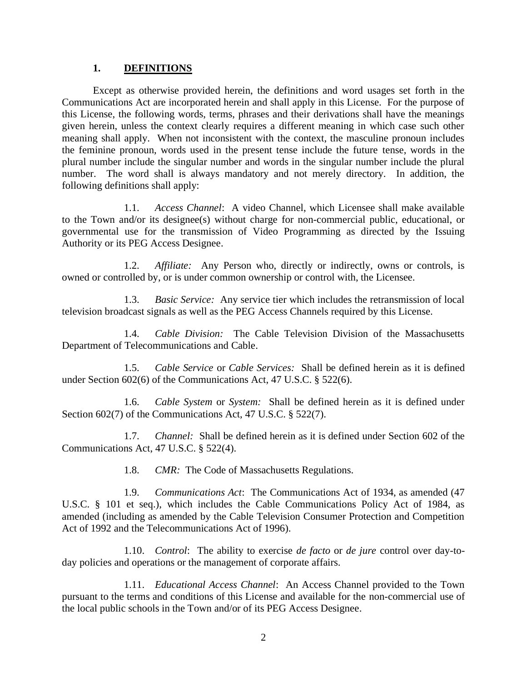### **1. DEFINITIONS**

Except as otherwise provided herein, the definitions and word usages set forth in the Communications Act are incorporated herein and shall apply in this License. For the purpose of this License, the following words, terms, phrases and their derivations shall have the meanings given herein, unless the context clearly requires a different meaning in which case such other meaning shall apply. When not inconsistent with the context, the masculine pronoun includes the feminine pronoun, words used in the present tense include the future tense, words in the plural number include the singular number and words in the singular number include the plural number. The word shall is always mandatory and not merely directory. In addition, the following definitions shall apply:

1.1. *Access Channel*: A video Channel, which Licensee shall make available to the Town and/or its designee(s) without charge for non-commercial public, educational, or governmental use for the transmission of Video Programming as directed by the Issuing Authority or its PEG Access Designee.

1.2. *Affiliate:* Any Person who, directly or indirectly, owns or controls, is owned or controlled by, or is under common ownership or control with, the Licensee.

1.3. *Basic Service:* Any service tier which includes the retransmission of local television broadcast signals as well as the PEG Access Channels required by this License.

1.4. *Cable Division:* The Cable Television Division of the Massachusetts Department of Telecommunications and Cable.

1.5. *Cable Service* or *Cable Services:* Shall be defined herein as it is defined under Section 602(6) of the Communications Act, 47 U.S.C. § 522(6).

1.6. *Cable System* or *System:* Shall be defined herein as it is defined under Section 602(7) of the Communications Act, 47 U.S.C. § 522(7).

1.7. *Channel:* Shall be defined herein as it is defined under Section 602 of the Communications Act, 47 U.S.C. § 522(4).

1.8. *CMR:* The Code of Massachusetts Regulations.

1.9. *Communications Act*: The Communications Act of 1934, as amended (47 U.S.C. § 101 et seq.), which includes the Cable Communications Policy Act of 1984, as amended (including as amended by the Cable Television Consumer Protection and Competition Act of 1992 and the Telecommunications Act of 1996).

1.10. *Control*: The ability to exercise *de facto* or *de jure* control over day-today policies and operations or the management of corporate affairs.

1.11. *Educational Access Channel*: An Access Channel provided to the Town pursuant to the terms and conditions of this License and available for the non-commercial use of the local public schools in the Town and/or of its PEG Access Designee.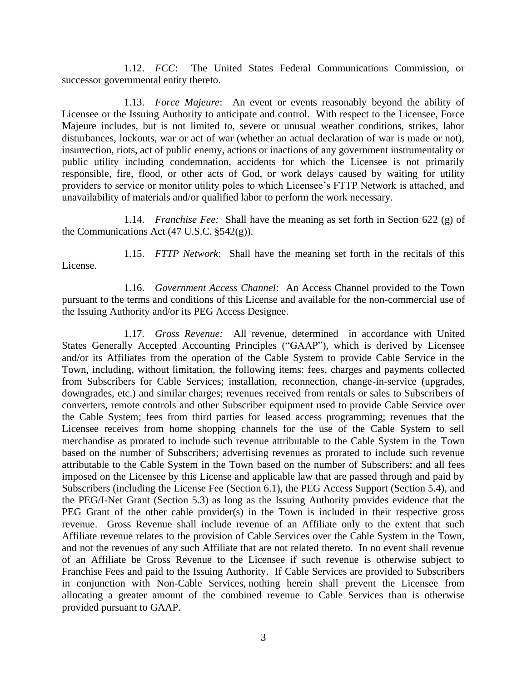1.12. *FCC*: The United States Federal Communications Commission, or successor governmental entity thereto.

1.13. *Force Majeure*: An event or events reasonably beyond the ability of Licensee or the Issuing Authority to anticipate and control. With respect to the Licensee, Force Majeure includes, but is not limited to, severe or unusual weather conditions, strikes, labor disturbances, lockouts, war or act of war (whether an actual declaration of war is made or not), insurrection, riots, act of public enemy, actions or inactions of any government instrumentality or public utility including condemnation, accidents for which the Licensee is not primarily responsible, fire, flood, or other acts of God, or work delays caused by waiting for utility providers to service or monitor utility poles to which Licensee's FTTP Network is attached, and unavailability of materials and/or qualified labor to perform the work necessary.

1.14. *Franchise Fee:* Shall have the meaning as set forth in Section 622 (g) of the Communications Act (47 U.S.C. §542(g)).

1.15. *FTTP Network*: Shall have the meaning set forth in the recitals of this License.

1.16. *Government Access Channel*: An Access Channel provided to the Town pursuant to the terms and conditions of this License and available for the non-commercial use of the Issuing Authority and/or its PEG Access Designee.

1.17. *Gross Revenue:* All revenue, determined in accordance with United States Generally Accepted Accounting Principles ("GAAP"), which is derived by Licensee and/or its Affiliates from the operation of the Cable System to provide Cable Service in the Town, including, without limitation, the following items: fees, charges and payments collected from Subscribers for Cable Services; installation, reconnection, change-in-service (upgrades, downgrades, etc.) and similar charges; revenues received from rentals or sales to Subscribers of converters, remote controls and other Subscriber equipment used to provide Cable Service over the Cable System; fees from third parties for leased access programming; revenues that the Licensee receives from home shopping channels for the use of the Cable System to sell merchandise as prorated to include such revenue attributable to the Cable System in the Town based on the number of Subscribers; advertising revenues as prorated to include such revenue attributable to the Cable System in the Town based on the number of Subscribers; and all fees imposed on the Licensee by this License and applicable law that are passed through and paid by Subscribers (including the License Fee (Section 6.1), the PEG Access Support (Section 5.4), and the PEG/I-Net Grant (Section 5.3) as long as the Issuing Authority provides evidence that the PEG Grant of the other cable provider(s) in the Town is included in their respective gross revenue. Gross Revenue shall include revenue of an Affiliate only to the extent that such Affiliate revenue relates to the provision of Cable Services over the Cable System in the Town, and not the revenues of any such Affiliate that are not related thereto. In no event shall revenue of an Affiliate be Gross Revenue to the Licensee if such revenue is otherwise subject to Franchise Fees and paid to the Issuing Authority. If Cable Services are provided to Subscribers in conjunction with Non-Cable Services, nothing herein shall prevent the Licensee from allocating a greater amount of the combined revenue to Cable Services than is otherwise provided pursuant to GAAP.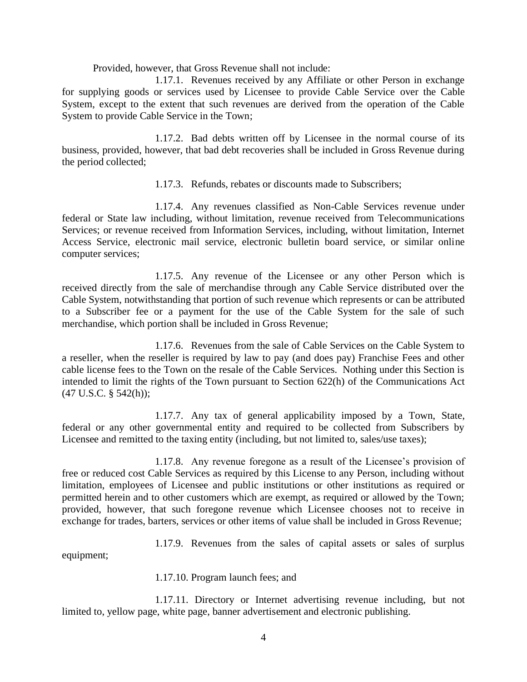Provided, however, that Gross Revenue shall not include:

1.17.1. Revenues received by any Affiliate or other Person in exchange for supplying goods or services used by Licensee to provide Cable Service over the Cable System, except to the extent that such revenues are derived from the operation of the Cable System to provide Cable Service in the Town;

1.17.2. Bad debts written off by Licensee in the normal course of its business, provided, however, that bad debt recoveries shall be included in Gross Revenue during the period collected;

1.17.3. Refunds, rebates or discounts made to Subscribers;

1.17.4. Any revenues classified as Non-Cable Services revenue under federal or State law including, without limitation, revenue received from Telecommunications Services; or revenue received from Information Services, including, without limitation, Internet Access Service, electronic mail service, electronic bulletin board service, or similar online computer services;

1.17.5. Any revenue of the Licensee or any other Person which is received directly from the sale of merchandise through any Cable Service distributed over the Cable System, notwithstanding that portion of such revenue which represents or can be attributed to a Subscriber fee or a payment for the use of the Cable System for the sale of such merchandise, which portion shall be included in Gross Revenue;

1.17.6. Revenues from the sale of Cable Services on the Cable System to a reseller, when the reseller is required by law to pay (and does pay) Franchise Fees and other cable license fees to the Town on the resale of the Cable Services. Nothing under this Section is intended to limit the rights of the Town pursuant to Section 622(h) of the Communications Act (47 U.S.C. § 542(h));

1.17.7. Any tax of general applicability imposed by a Town, State, federal or any other governmental entity and required to be collected from Subscribers by Licensee and remitted to the taxing entity (including, but not limited to, sales/use taxes);

1.17.8. Any revenue foregone as a result of the Licensee's provision of free or reduced cost Cable Services as required by this License to any Person, including without limitation, employees of Licensee and public institutions or other institutions as required or permitted herein and to other customers which are exempt, as required or allowed by the Town; provided, however, that such foregone revenue which Licensee chooses not to receive in exchange for trades, barters, services or other items of value shall be included in Gross Revenue;

1.17.9. Revenues from the sales of capital assets or sales of surplus

equipment;

1.17.10. Program launch fees; and

1.17.11. Directory or Internet advertising revenue including, but not limited to, yellow page, white page, banner advertisement and electronic publishing.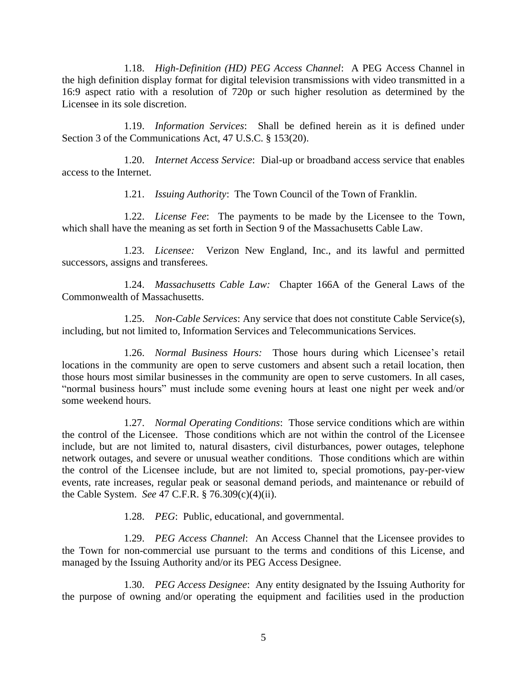1.18. *High-Definition (HD) PEG Access Channel*: A PEG Access Channel in the high definition display format for digital television transmissions with video transmitted in a 16:9 aspect ratio with a resolution of 720p or such higher resolution as determined by the Licensee in its sole discretion.

1.19. *Information Services*: Shall be defined herein as it is defined under Section 3 of the Communications Act, 47 U.S.C. § 153(20).

1.20. *Internet Access Service*: Dial-up or broadband access service that enables access to the Internet.

1.21. *Issuing Authority*: The Town Council of the Town of Franklin.

1.22. *License Fee*: The payments to be made by the Licensee to the Town, which shall have the meaning as set forth in Section 9 of the Massachusetts Cable Law.

1.23. *Licensee:* Verizon New England, Inc., and its lawful and permitted successors, assigns and transferees.

1.24. *Massachusetts Cable Law:* Chapter 166A of the General Laws of the Commonwealth of Massachusetts.

1.25. *Non-Cable Services*: Any service that does not constitute Cable Service(s), including, but not limited to, Information Services and Telecommunications Services.

1.26. *Normal Business Hours:* Those hours during which Licensee's retail locations in the community are open to serve customers and absent such a retail location, then those hours most similar businesses in the community are open to serve customers. In all cases, "normal business hours" must include some evening hours at least one night per week and/or some weekend hours.

1.27. *Normal Operating Conditions*: Those service conditions which are within the control of the Licensee. Those conditions which are not within the control of the Licensee include, but are not limited to, natural disasters, civil disturbances, power outages, telephone network outages, and severe or unusual weather conditions. Those conditions which are within the control of the Licensee include, but are not limited to, special promotions, pay-per-view events, rate increases, regular peak or seasonal demand periods, and maintenance or rebuild of the Cable System. *See* 47 C.F.R. § 76.309(c)(4)(ii).

1.28. *PEG*: Public, educational, and governmental.

1.29. *PEG Access Channel*: An Access Channel that the Licensee provides to the Town for non-commercial use pursuant to the terms and conditions of this License, and managed by the Issuing Authority and/or its PEG Access Designee.

1.30. *PEG Access Designee*: Any entity designated by the Issuing Authority for the purpose of owning and/or operating the equipment and facilities used in the production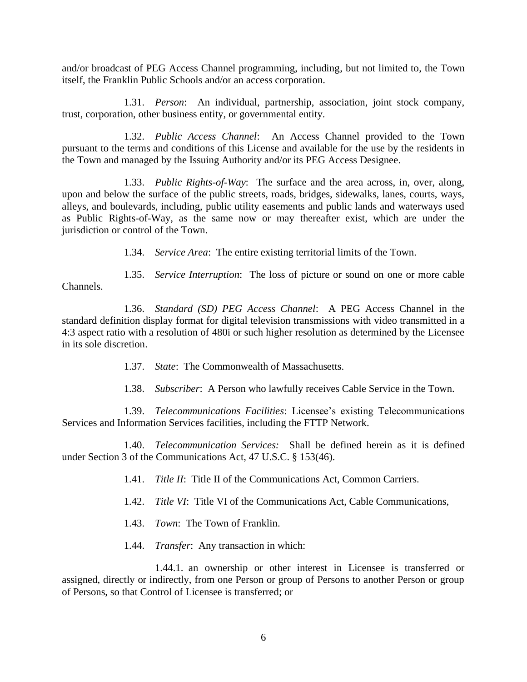and/or broadcast of PEG Access Channel programming, including, but not limited to, the Town itself, the Franklin Public Schools and/or an access corporation.

1.31. *Person*: An individual, partnership, association, joint stock company, trust, corporation, other business entity, or governmental entity.

1.32. *Public Access Channel*: An Access Channel provided to the Town pursuant to the terms and conditions of this License and available for the use by the residents in the Town and managed by the Issuing Authority and/or its PEG Access Designee.

1.33. *Public Rights-of-Way*: The surface and the area across, in, over, along, upon and below the surface of the public streets, roads, bridges, sidewalks, lanes, courts, ways, alleys, and boulevards, including, public utility easements and public lands and waterways used as Public Rights-of-Way, as the same now or may thereafter exist, which are under the jurisdiction or control of the Town.

1.34. *Service Area*: The entire existing territorial limits of the Town.

1.35. *Service Interruption*: The loss of picture or sound on one or more cable Channels.

1.36. *Standard (SD) PEG Access Channel*: A PEG Access Channel in the standard definition display format for digital television transmissions with video transmitted in a 4:3 aspect ratio with a resolution of 480i or such higher resolution as determined by the Licensee in its sole discretion.

1.37. *State*: The Commonwealth of Massachusetts.

1.38. *Subscriber*: A Person who lawfully receives Cable Service in the Town.

1.39. *Telecommunications Facilities*: Licensee's existing Telecommunications Services and Information Services facilities, including the FTTP Network.

1.40. *Telecommunication Services:* Shall be defined herein as it is defined under Section 3 of the Communications Act, 47 U.S.C. § 153(46).

1.41. *Title II*: Title II of the Communications Act, Common Carriers.

1.42. *Title VI*: Title VI of the Communications Act, Cable Communications,

1.43. *Town*: The Town of Franklin.

1.44. *Transfer*: Any transaction in which:

1.44.1. an ownership or other interest in Licensee is transferred or assigned, directly or indirectly, from one Person or group of Persons to another Person or group of Persons, so that Control of Licensee is transferred; or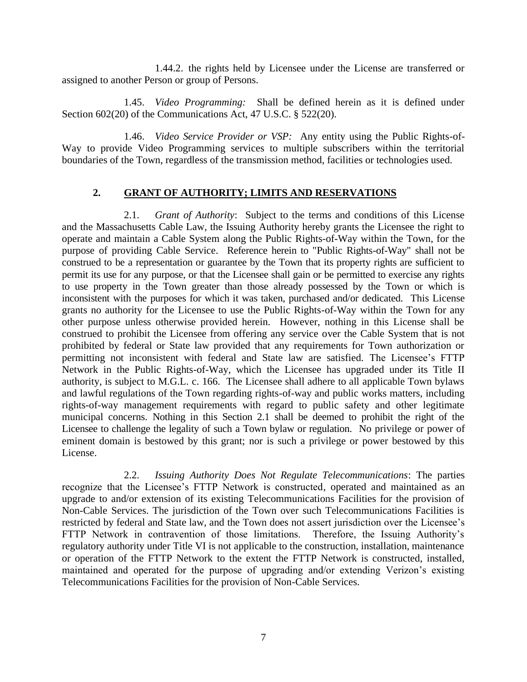1.44.2. the rights held by Licensee under the License are transferred or assigned to another Person or group of Persons.

1.45. *Video Programming:* Shall be defined herein as it is defined under Section 602(20) of the Communications Act, 47 U.S.C. § 522(20).

1.46. *Video Service Provider or VSP:* Any entity using the Public Rights-of-Way to provide Video Programming services to multiple subscribers within the territorial boundaries of the Town, regardless of the transmission method, facilities or technologies used.

### **2. GRANT OF AUTHORITY; LIMITS AND RESERVATIONS**

2.1. *Grant of Authority*: Subject to the terms and conditions of this License and the Massachusetts Cable Law, the Issuing Authority hereby grants the Licensee the right to operate and maintain a Cable System along the Public Rights-of-Way within the Town, for the purpose of providing Cable Service. Reference herein to "Public Rights-of-Way" shall not be construed to be a representation or guarantee by the Town that its property rights are sufficient to permit its use for any purpose, or that the Licensee shall gain or be permitted to exercise any rights to use property in the Town greater than those already possessed by the Town or which is inconsistent with the purposes for which it was taken, purchased and/or dedicated. This License grants no authority for the Licensee to use the Public Rights-of-Way within the Town for any other purpose unless otherwise provided herein. However, nothing in this License shall be construed to prohibit the Licensee from offering any service over the Cable System that is not prohibited by federal or State law provided that any requirements for Town authorization or permitting not inconsistent with federal and State law are satisfied. The Licensee's FTTP Network in the Public Rights-of-Way, which the Licensee has upgraded under its Title II authority, is subject to M.G.L. c. 166. The Licensee shall adhere to all applicable Town bylaws and lawful regulations of the Town regarding rights-of-way and public works matters, including rights-of-way management requirements with regard to public safety and other legitimate municipal concerns. Nothing in this Section 2.1 shall be deemed to prohibit the right of the Licensee to challenge the legality of such a Town bylaw or regulation. No privilege or power of eminent domain is bestowed by this grant; nor is such a privilege or power bestowed by this License.

2.2. *Issuing Authority Does Not Regulate Telecommunications*: The parties recognize that the Licensee's FTTP Network is constructed, operated and maintained as an upgrade to and/or extension of its existing Telecommunications Facilities for the provision of Non-Cable Services. The jurisdiction of the Town over such Telecommunications Facilities is restricted by federal and State law, and the Town does not assert jurisdiction over the Licensee's FTTP Network in contravention of those limitations. Therefore, the Issuing Authority's regulatory authority under Title VI is not applicable to the construction, installation, maintenance or operation of the FTTP Network to the extent the FTTP Network is constructed, installed, maintained and operated for the purpose of upgrading and/or extending Verizon's existing Telecommunications Facilities for the provision of Non-Cable Services.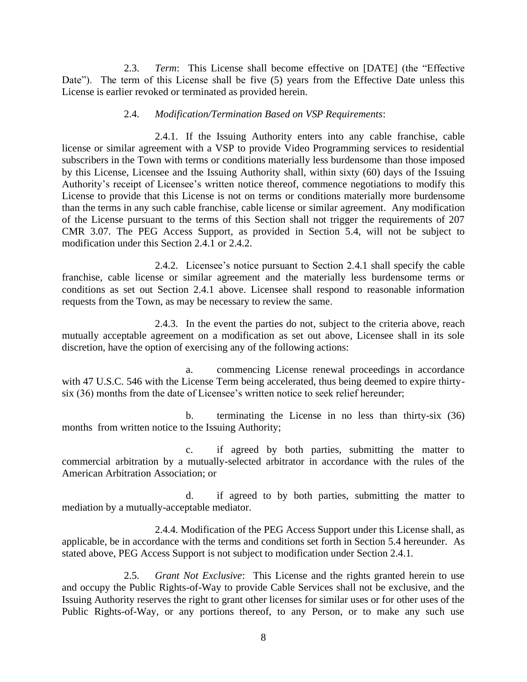2.3. *Term*: This License shall become effective on [DATE] (the "Effective Date"). The term of this License shall be five (5) years from the Effective Date unless this License is earlier revoked or terminated as provided herein.

#### 2.4. *Modification/Termination Based on VSP Requirements*:

2.4.1. If the Issuing Authority enters into any cable franchise, cable license or similar agreement with a VSP to provide Video Programming services to residential subscribers in the Town with terms or conditions materially less burdensome than those imposed by this License, Licensee and the Issuing Authority shall, within sixty (60) days of the Issuing Authority's receipt of Licensee's written notice thereof, commence negotiations to modify this License to provide that this License is not on terms or conditions materially more burdensome than the terms in any such cable franchise, cable license or similar agreement. Any modification of the License pursuant to the terms of this Section shall not trigger the requirements of 207 CMR 3.07. The PEG Access Support, as provided in Section 5.4, will not be subject to modification under this Section 2.4.1 or 2.4.2.

2.4.2. Licensee's notice pursuant to Section 2.4.1 shall specify the cable franchise, cable license or similar agreement and the materially less burdensome terms or conditions as set out Section 2.4.1 above. Licensee shall respond to reasonable information requests from the Town, as may be necessary to review the same.

2.4.3. In the event the parties do not, subject to the criteria above, reach mutually acceptable agreement on a modification as set out above, Licensee shall in its sole discretion, have the option of exercising any of the following actions:

a. commencing License renewal proceedings in accordance with 47 U.S.C. 546 with the License Term being accelerated, thus being deemed to expire thirtysix (36) months from the date of Licensee's written notice to seek relief hereunder;

b. terminating the License in no less than thirty-six (36) months from written notice to the Issuing Authority;

c. if agreed by both parties, submitting the matter to commercial arbitration by a mutually-selected arbitrator in accordance with the rules of the American Arbitration Association; or

d. if agreed to by both parties, submitting the matter to mediation by a mutually-acceptable mediator.

2.4.4. Modification of the PEG Access Support under this License shall, as applicable, be in accordance with the terms and conditions set forth in Section 5.4 hereunder. As stated above, PEG Access Support is not subject to modification under Section 2.4.1.

2.5. *Grant Not Exclusive*: This License and the rights granted herein to use and occupy the Public Rights-of-Way to provide Cable Services shall not be exclusive, and the Issuing Authority reserves the right to grant other licenses for similar uses or for other uses of the Public Rights-of-Way, or any portions thereof, to any Person, or to make any such use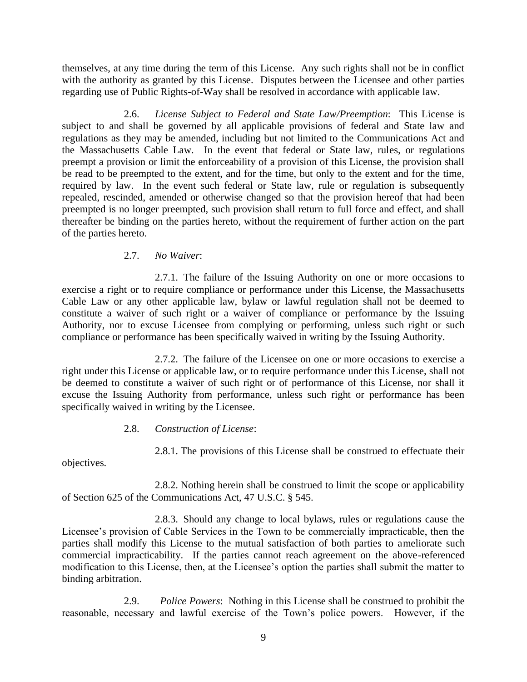themselves, at any time during the term of this License. Any such rights shall not be in conflict with the authority as granted by this License. Disputes between the Licensee and other parties regarding use of Public Rights-of-Way shall be resolved in accordance with applicable law.

2.6. *License Subject to Federal and State Law/Preemption*: This License is subject to and shall be governed by all applicable provisions of federal and State law and regulations as they may be amended, including but not limited to the Communications Act and the Massachusetts Cable Law. In the event that federal or State law, rules, or regulations preempt a provision or limit the enforceability of a provision of this License, the provision shall be read to be preempted to the extent, and for the time, but only to the extent and for the time, required by law. In the event such federal or State law, rule or regulation is subsequently repealed, rescinded, amended or otherwise changed so that the provision hereof that had been preempted is no longer preempted, such provision shall return to full force and effect, and shall thereafter be binding on the parties hereto, without the requirement of further action on the part of the parties hereto.

### 2.7. *No Waiver*:

2.7.1. The failure of the Issuing Authority on one or more occasions to exercise a right or to require compliance or performance under this License, the Massachusetts Cable Law or any other applicable law, bylaw or lawful regulation shall not be deemed to constitute a waiver of such right or a waiver of compliance or performance by the Issuing Authority, nor to excuse Licensee from complying or performing, unless such right or such compliance or performance has been specifically waived in writing by the Issuing Authority.

2.7.2. The failure of the Licensee on one or more occasions to exercise a right under this License or applicable law, or to require performance under this License, shall not be deemed to constitute a waiver of such right or of performance of this License, nor shall it excuse the Issuing Authority from performance, unless such right or performance has been specifically waived in writing by the Licensee.

### 2.8. *Construction of License*:

2.8.1. The provisions of this License shall be construed to effectuate their

objectives.

2.8.2. Nothing herein shall be construed to limit the scope or applicability of Section 625 of the Communications Act, 47 U.S.C. § 545.

2.8.3. Should any change to local bylaws, rules or regulations cause the Licensee's provision of Cable Services in the Town to be commercially impracticable, then the parties shall modify this License to the mutual satisfaction of both parties to ameliorate such commercial impracticability. If the parties cannot reach agreement on the above-referenced modification to this License, then, at the Licensee's option the parties shall submit the matter to binding arbitration.

2.9. *Police Powers*: Nothing in this License shall be construed to prohibit the reasonable, necessary and lawful exercise of the Town's police powers. However, if the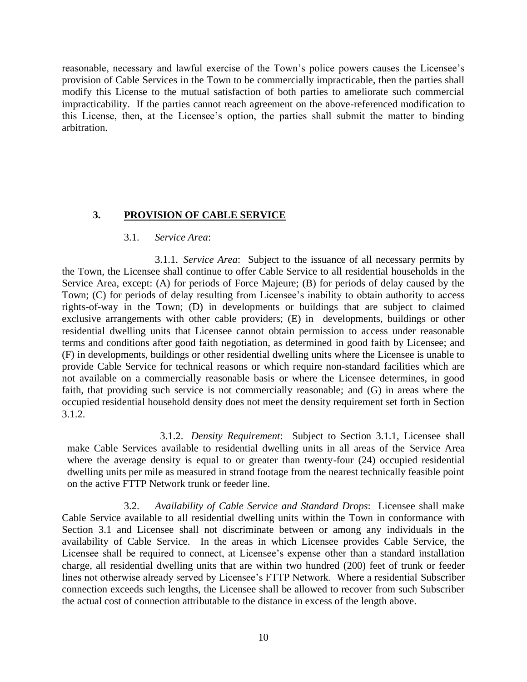reasonable, necessary and lawful exercise of the Town's police powers causes the Licensee's provision of Cable Services in the Town to be commercially impracticable, then the parties shall modify this License to the mutual satisfaction of both parties to ameliorate such commercial impracticability. If the parties cannot reach agreement on the above-referenced modification to this License, then, at the Licensee's option, the parties shall submit the matter to binding arbitration.

### **3. PROVISION OF CABLE SERVICE**

#### 3.1. *Service Area*:

3.1.1. *Service Area*: Subject to the issuance of all necessary permits by the Town, the Licensee shall continue to offer Cable Service to all residential households in the Service Area, except: (A) for periods of Force Majeure; (B) for periods of delay caused by the Town; (C) for periods of delay resulting from Licensee's inability to obtain authority to access rights-of-way in the Town; (D) in developments or buildings that are subject to claimed exclusive arrangements with other cable providers; (E) in developments, buildings or other residential dwelling units that Licensee cannot obtain permission to access under reasonable terms and conditions after good faith negotiation, as determined in good faith by Licensee; and (F) in developments, buildings or other residential dwelling units where the Licensee is unable to provide Cable Service for technical reasons or which require non-standard facilities which are not available on a commercially reasonable basis or where the Licensee determines, in good faith, that providing such service is not commercially reasonable; and (G) in areas where the occupied residential household density does not meet the density requirement set forth in Section 3.1.2.

3.1.2. *Density Requirement*: Subject to Section 3.1.1, Licensee shall make Cable Services available to residential dwelling units in all areas of the Service Area where the average density is equal to or greater than twenty-four (24) occupied residential dwelling units per mile as measured in strand footage from the nearest technically feasible point on the active FTTP Network trunk or feeder line.

3.2. *Availability of Cable Service and Standard Drops*: Licensee shall make Cable Service available to all residential dwelling units within the Town in conformance with Section 3.1 and Licensee shall not discriminate between or among any individuals in the availability of Cable Service. In the areas in which Licensee provides Cable Service, the Licensee shall be required to connect, at Licensee's expense other than a standard installation charge, all residential dwelling units that are within two hundred (200) feet of trunk or feeder lines not otherwise already served by Licensee's FTTP Network. Where a residential Subscriber connection exceeds such lengths, the Licensee shall be allowed to recover from such Subscriber the actual cost of connection attributable to the distance in excess of the length above.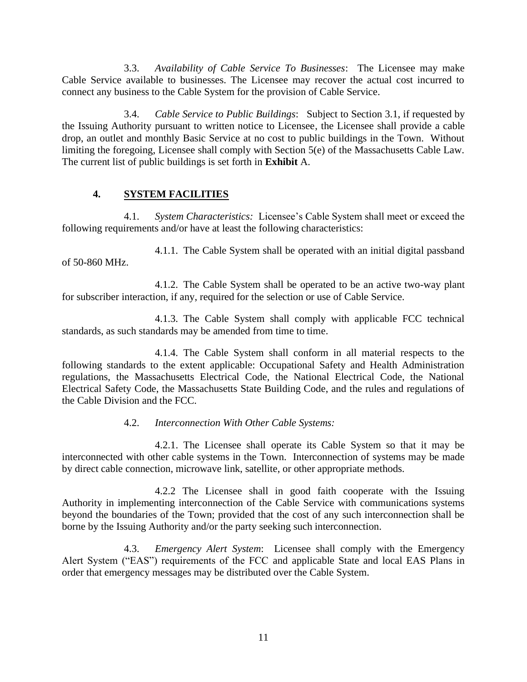3.3. *Availability of Cable Service To Businesses*: The Licensee may make Cable Service available to businesses. The Licensee may recover the actual cost incurred to connect any business to the Cable System for the provision of Cable Service.

3.4. *Cable Service to Public Buildings*: Subject to Section 3.1, if requested by the Issuing Authority pursuant to written notice to Licensee, the Licensee shall provide a cable drop, an outlet and monthly Basic Service at no cost to public buildings in the Town. Without limiting the foregoing, Licensee shall comply with Section 5(e) of the Massachusetts Cable Law. The current list of public buildings is set forth in **Exhibit** A.

## **4. SYSTEM FACILITIES**

4.1. *System Characteristics:* Licensee's Cable System shall meet or exceed the following requirements and/or have at least the following characteristics:

4.1.1. The Cable System shall be operated with an initial digital passband of 50-860 MHz.

4.1.2. The Cable System shall be operated to be an active two-way plant for subscriber interaction, if any, required for the selection or use of Cable Service.

4.1.3. The Cable System shall comply with applicable FCC technical standards, as such standards may be amended from time to time.

4.1.4. The Cable System shall conform in all material respects to the following standards to the extent applicable: Occupational Safety and Health Administration regulations, the Massachusetts Electrical Code, the National Electrical Code, the National Electrical Safety Code, the Massachusetts State Building Code, and the rules and regulations of the Cable Division and the FCC.

## 4.2. *Interconnection With Other Cable Systems:*

4.2.1. The Licensee shall operate its Cable System so that it may be interconnected with other cable systems in the Town. Interconnection of systems may be made by direct cable connection, microwave link, satellite, or other appropriate methods.

4.2.2 The Licensee shall in good faith cooperate with the Issuing Authority in implementing interconnection of the Cable Service with communications systems beyond the boundaries of the Town; provided that the cost of any such interconnection shall be borne by the Issuing Authority and/or the party seeking such interconnection.

4.3. *Emergency Alert System*: Licensee shall comply with the Emergency Alert System ("EAS") requirements of the FCC and applicable State and local EAS Plans in order that emergency messages may be distributed over the Cable System.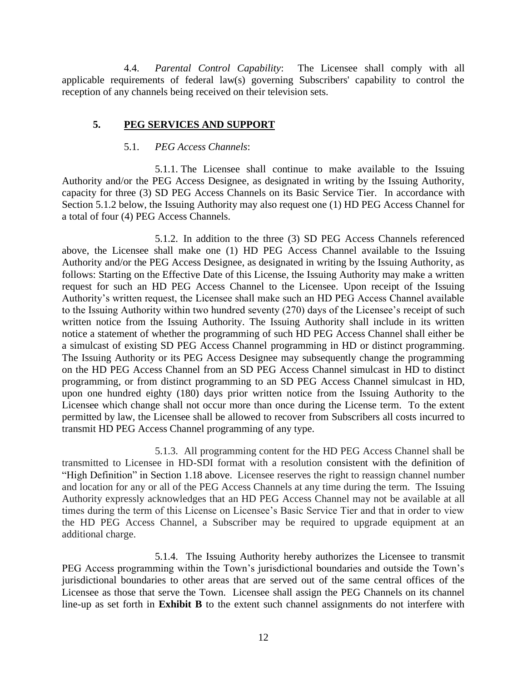4.4. *Parental Control Capability*: The Licensee shall comply with all applicable requirements of federal law(s) governing Subscribers' capability to control the reception of any channels being received on their television sets.

### **5. PEG SERVICES AND SUPPORT**

### 5.1. *PEG Access Channels*:

5.1.1. The Licensee shall continue to make available to the Issuing Authority and/or the PEG Access Designee, as designated in writing by the Issuing Authority, capacity for three (3) SD PEG Access Channels on its Basic Service Tier. In accordance with Section 5.1.2 below, the Issuing Authority may also request one (1) HD PEG Access Channel for a total of four (4) PEG Access Channels.

5.1.2. In addition to the three (3) SD PEG Access Channels referenced above, the Licensee shall make one (1) HD PEG Access Channel available to the Issuing Authority and/or the PEG Access Designee, as designated in writing by the Issuing Authority, as follows: Starting on the Effective Date of this License, the Issuing Authority may make a written request for such an HD PEG Access Channel to the Licensee. Upon receipt of the Issuing Authority's written request, the Licensee shall make such an HD PEG Access Channel available to the Issuing Authority within two hundred seventy (270) days of the Licensee's receipt of such written notice from the Issuing Authority. The Issuing Authority shall include in its written notice a statement of whether the programming of such HD PEG Access Channel shall either be a simulcast of existing SD PEG Access Channel programming in HD or distinct programming. The Issuing Authority or its PEG Access Designee may subsequently change the programming on the HD PEG Access Channel from an SD PEG Access Channel simulcast in HD to distinct programming, or from distinct programming to an SD PEG Access Channel simulcast in HD, upon one hundred eighty (180) days prior written notice from the Issuing Authority to the Licensee which change shall not occur more than once during the License term. To the extent permitted by law, the Licensee shall be allowed to recover from Subscribers all costs incurred to transmit HD PEG Access Channel programming of any type.

5.1.3. All programming content for the HD PEG Access Channel shall be transmitted to Licensee in HD-SDI format with a resolution consistent with the definition of "High Definition" in Section 1.18 above. Licensee reserves the right to reassign channel number and location for any or all of the PEG Access Channels at any time during the term. The Issuing Authority expressly acknowledges that an HD PEG Access Channel may not be available at all times during the term of this License on Licensee's Basic Service Tier and that in order to view the HD PEG Access Channel, a Subscriber may be required to upgrade equipment at an additional charge.

5.1.4. The Issuing Authority hereby authorizes the Licensee to transmit PEG Access programming within the Town's jurisdictional boundaries and outside the Town's jurisdictional boundaries to other areas that are served out of the same central offices of the Licensee as those that serve the Town. Licensee shall assign the PEG Channels on its channel line-up as set forth in **Exhibit B** to the extent such channel assignments do not interfere with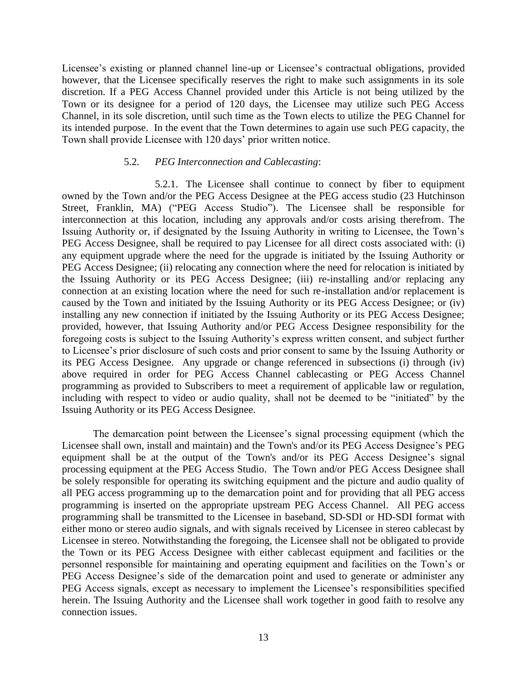Licensee's existing or planned channel line-up or Licensee's contractual obligations, provided however, that the Licensee specifically reserves the right to make such assignments in its sole discretion. If a PEG Access Channel provided under this Article is not being utilized by the Town or its designee for a period of 120 days, the Licensee may utilize such PEG Access Channel, in its sole discretion, until such time as the Town elects to utilize the PEG Channel for its intended purpose. In the event that the Town determines to again use such PEG capacity, the Town shall provide Licensee with 120 days' prior written notice.

#### 5.2. *PEG Interconnection and Cablecasting*:

5.2.1. The Licensee shall continue to connect by fiber to equipment owned by the Town and/or the PEG Access Designee at the PEG access studio (23 Hutchinson Street, Franklin, MA) ("PEG Access Studio"). The Licensee shall be responsible for interconnection at this location, including any approvals and/or costs arising therefrom. The Issuing Authority or, if designated by the Issuing Authority in writing to Licensee, the Town's PEG Access Designee, shall be required to pay Licensee for all direct costs associated with: (i) any equipment upgrade where the need for the upgrade is initiated by the Issuing Authority or PEG Access Designee; (ii) relocating any connection where the need for relocation is initiated by the Issuing Authority or its PEG Access Designee; (iii) re-installing and/or replacing any connection at an existing location where the need for such re-installation and/or replacement is caused by the Town and initiated by the Issuing Authority or its PEG Access Designee; or (iv) installing any new connection if initiated by the Issuing Authority or its PEG Access Designee; provided, however, that Issuing Authority and/or PEG Access Designee responsibility for the foregoing costs is subject to the Issuing Authority's express written consent, and subject further to Licensee's prior disclosure of such costs and prior consent to same by the Issuing Authority or its PEG Access Designee. Any upgrade or change referenced in subsections (i) through (iv) above required in order for PEG Access Channel cablecasting or PEG Access Channel programming as provided to Subscribers to meet a requirement of applicable law or regulation, including with respect to video or audio quality, shall not be deemed to be "initiated" by the Issuing Authority or its PEG Access Designee.

The demarcation point between the Licensee's signal processing equipment (which the Licensee shall own, install and maintain) and the Town's and/or its PEG Access Designee's PEG equipment shall be at the output of the Town's and/or its PEG Access Designee's signal processing equipment at the PEG Access Studio. The Town and/or PEG Access Designee shall be solely responsible for operating its switching equipment and the picture and audio quality of all PEG access programming up to the demarcation point and for providing that all PEG access programming is inserted on the appropriate upstream PEG Access Channel. All PEG access programming shall be transmitted to the Licensee in baseband, SD-SDI or HD-SDI format with either mono or stereo audio signals, and with signals received by Licensee in stereo cablecast by Licensee in stereo. Notwithstanding the foregoing, the Licensee shall not be obligated to provide the Town or its PEG Access Designee with either cablecast equipment and facilities or the personnel responsible for maintaining and operating equipment and facilities on the Town's or PEG Access Designee's side of the demarcation point and used to generate or administer any PEG Access signals, except as necessary to implement the Licensee's responsibilities specified herein. The Issuing Authority and the Licensee shall work together in good faith to resolve any connection issues.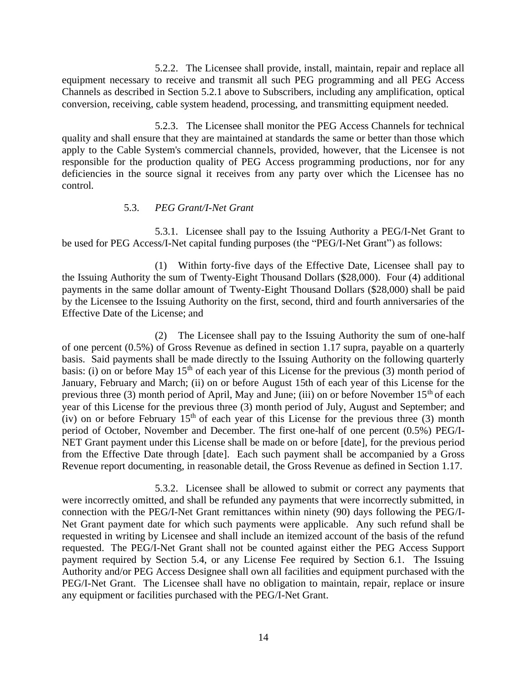5.2.2. The Licensee shall provide, install, maintain, repair and replace all equipment necessary to receive and transmit all such PEG programming and all PEG Access Channels as described in Section 5.2.1 above to Subscribers, including any amplification, optical conversion, receiving, cable system headend, processing, and transmitting equipment needed.

5.2.3. The Licensee shall monitor the PEG Access Channels for technical quality and shall ensure that they are maintained at standards the same or better than those which apply to the Cable System's commercial channels, provided, however, that the Licensee is not responsible for the production quality of PEG Access programming productions, nor for any deficiencies in the source signal it receives from any party over which the Licensee has no control*.* 

### 5.3. *PEG Grant/I-Net Grant*

5.3.1. Licensee shall pay to the Issuing Authority a PEG/I-Net Grant to be used for PEG Access/I-Net capital funding purposes (the "PEG/I-Net Grant") as follows:

(1) Within forty-five days of the Effective Date, Licensee shall pay to the Issuing Authority the sum of Twenty-Eight Thousand Dollars (\$28,000). Four (4) additional payments in the same dollar amount of Twenty-Eight Thousand Dollars (\$28,000) shall be paid by the Licensee to the Issuing Authority on the first, second, third and fourth anniversaries of the Effective Date of the License; and

(2) The Licensee shall pay to the Issuing Authority the sum of one-half of one percent (0.5%) of Gross Revenue as defined in section 1.17 supra, payable on a quarterly basis. Said payments shall be made directly to the Issuing Authority on the following quarterly basis: (i) on or before May  $15<sup>th</sup>$  of each year of this License for the previous (3) month period of January, February and March; (ii) on or before August 15th of each year of this License for the previous three (3) month period of April, May and June; (iii) on or before November  $15<sup>th</sup>$  of each year of this License for the previous three (3) month period of July, August and September; and (iv) on or before February  $15<sup>th</sup>$  of each year of this License for the previous three (3) month period of October, November and December. The first one-half of one percent (0.5%) PEG/I-NET Grant payment under this License shall be made on or before [date], for the previous period from the Effective Date through [date]. Each such payment shall be accompanied by a Gross Revenue report documenting, in reasonable detail, the Gross Revenue as defined in Section 1.17.

5.3.2. Licensee shall be allowed to submit or correct any payments that were incorrectly omitted, and shall be refunded any payments that were incorrectly submitted, in connection with the PEG/I-Net Grant remittances within ninety (90) days following the PEG/I-Net Grant payment date for which such payments were applicable. Any such refund shall be requested in writing by Licensee and shall include an itemized account of the basis of the refund requested. The PEG/I-Net Grant shall not be counted against either the PEG Access Support payment required by Section 5.4, or any License Fee required by Section 6.1. The Issuing Authority and/or PEG Access Designee shall own all facilities and equipment purchased with the PEG/I-Net Grant. The Licensee shall have no obligation to maintain, repair, replace or insure any equipment or facilities purchased with the PEG/I-Net Grant.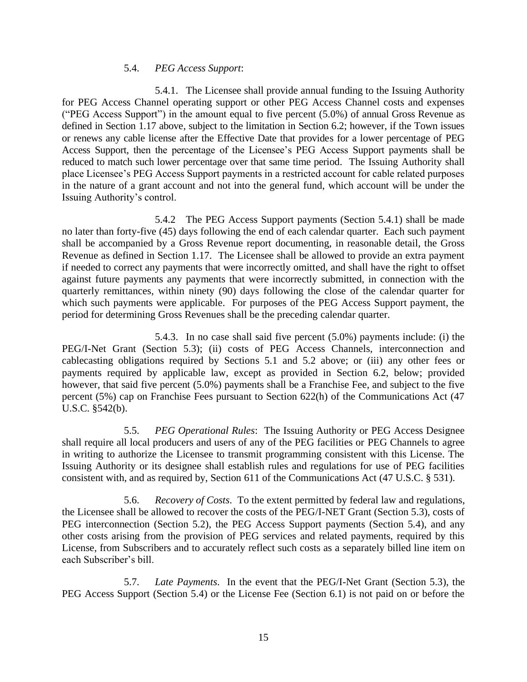#### 5.4. *PEG Access Support*:

5.4.1. The Licensee shall provide annual funding to the Issuing Authority for PEG Access Channel operating support or other PEG Access Channel costs and expenses ("PEG Access Support") in the amount equal to five percent (5.0%) of annual Gross Revenue as defined in Section 1.17 above, subject to the limitation in Section 6.2; however, if the Town issues or renews any cable license after the Effective Date that provides for a lower percentage of PEG Access Support, then the percentage of the Licensee's PEG Access Support payments shall be reduced to match such lower percentage over that same time period. The Issuing Authority shall place Licensee's PEG Access Support payments in a restricted account for cable related purposes in the nature of a grant account and not into the general fund, which account will be under the Issuing Authority's control.

5.4.2 The PEG Access Support payments (Section 5.4.1) shall be made no later than forty-five (45) days following the end of each calendar quarter. Each such payment shall be accompanied by a Gross Revenue report documenting, in reasonable detail, the Gross Revenue as defined in Section 1.17. The Licensee shall be allowed to provide an extra payment if needed to correct any payments that were incorrectly omitted, and shall have the right to offset against future payments any payments that were incorrectly submitted, in connection with the quarterly remittances, within ninety (90) days following the close of the calendar quarter for which such payments were applicable. For purposes of the PEG Access Support payment, the period for determining Gross Revenues shall be the preceding calendar quarter.

5.4.3. In no case shall said five percent (5.0%) payments include: (i) the PEG/I-Net Grant (Section 5.3); (ii) costs of PEG Access Channels, interconnection and cablecasting obligations required by Sections 5.1 and 5.2 above; or (iii) any other fees or payments required by applicable law, except as provided in Section 6.2, below; provided however, that said five percent (5.0%) payments shall be a Franchise Fee, and subject to the five percent (5%) cap on Franchise Fees pursuant to Section 622(h) of the Communications Act (47 U.S.C. §542(b).

5.5. *PEG Operational Rules*: The Issuing Authority or PEG Access Designee shall require all local producers and users of any of the PEG facilities or PEG Channels to agree in writing to authorize the Licensee to transmit programming consistent with this License. The Issuing Authority or its designee shall establish rules and regulations for use of PEG facilities consistent with, and as required by, Section 611 of the Communications Act (47 U.S.C. § 531).

5.6. *Recovery of Costs*. To the extent permitted by federal law and regulations, the Licensee shall be allowed to recover the costs of the PEG/I-NET Grant (Section 5.3), costs of PEG interconnection (Section 5.2), the PEG Access Support payments (Section 5.4), and any other costs arising from the provision of PEG services and related payments, required by this License, from Subscribers and to accurately reflect such costs as a separately billed line item on each Subscriber's bill.

5.7. *Late Payments*. In the event that the PEG/I-Net Grant (Section 5.3), the PEG Access Support (Section 5.4) or the License Fee (Section 6.1) is not paid on or before the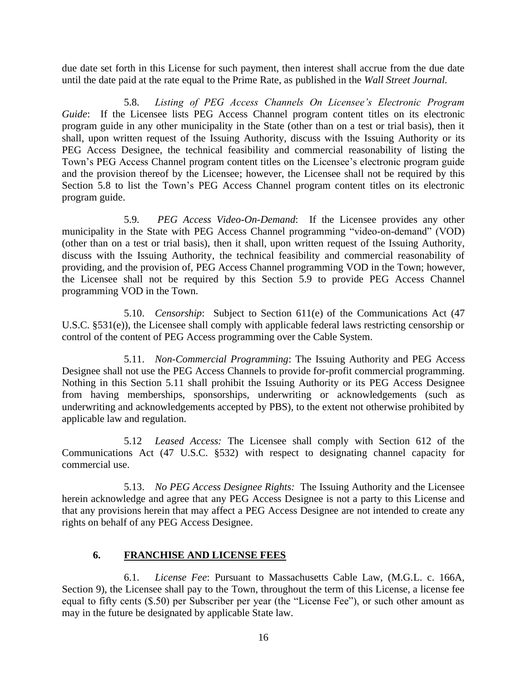due date set forth in this License for such payment, then interest shall accrue from the due date until the date paid at the rate equal to the Prime Rate, as published in the *Wall Street Journal.*

5.8. *Listing of PEG Access Channels On Licensee's Electronic Program Guide*: If the Licensee lists PEG Access Channel program content titles on its electronic program guide in any other municipality in the State (other than on a test or trial basis), then it shall, upon written request of the Issuing Authority, discuss with the Issuing Authority or its PEG Access Designee, the technical feasibility and commercial reasonability of listing the Town's PEG Access Channel program content titles on the Licensee's electronic program guide and the provision thereof by the Licensee; however, the Licensee shall not be required by this Section 5.8 to list the Town's PEG Access Channel program content titles on its electronic program guide.

5.9. *PEG Access Video-On-Demand*: If the Licensee provides any other municipality in the State with PEG Access Channel programming "video-on-demand" (VOD) (other than on a test or trial basis), then it shall, upon written request of the Issuing Authority, discuss with the Issuing Authority, the technical feasibility and commercial reasonability of providing, and the provision of, PEG Access Channel programming VOD in the Town; however, the Licensee shall not be required by this Section 5.9 to provide PEG Access Channel programming VOD in the Town.

5.10. *Censorship*: Subject to Section 611(e) of the Communications Act (47 U.S.C. §531(e)), the Licensee shall comply with applicable federal laws restricting censorship or control of the content of PEG Access programming over the Cable System.

5.11. *Non-Commercial Programming*: The Issuing Authority and PEG Access Designee shall not use the PEG Access Channels to provide for-profit commercial programming. Nothing in this Section 5.11 shall prohibit the Issuing Authority or its PEG Access Designee from having memberships, sponsorships, underwriting or acknowledgements (such as underwriting and acknowledgements accepted by PBS), to the extent not otherwise prohibited by applicable law and regulation.

5.12 *Leased Access:* The Licensee shall comply with Section 612 of the Communications Act (47 U.S.C. §532) with respect to designating channel capacity for commercial use.

5.13. *No PEG Access Designee Rights:* The Issuing Authority and the Licensee herein acknowledge and agree that any PEG Access Designee is not a party to this License and that any provisions herein that may affect a PEG Access Designee are not intended to create any rights on behalf of any PEG Access Designee.

## **6. FRANCHISE AND LICENSE FEES**

6.1. *License Fee*: Pursuant to Massachusetts Cable Law, (M.G.L. c. 166A, Section 9), the Licensee shall pay to the Town, throughout the term of this License, a license fee equal to fifty cents (\$.50) per Subscriber per year (the "License Fee"), or such other amount as may in the future be designated by applicable State law.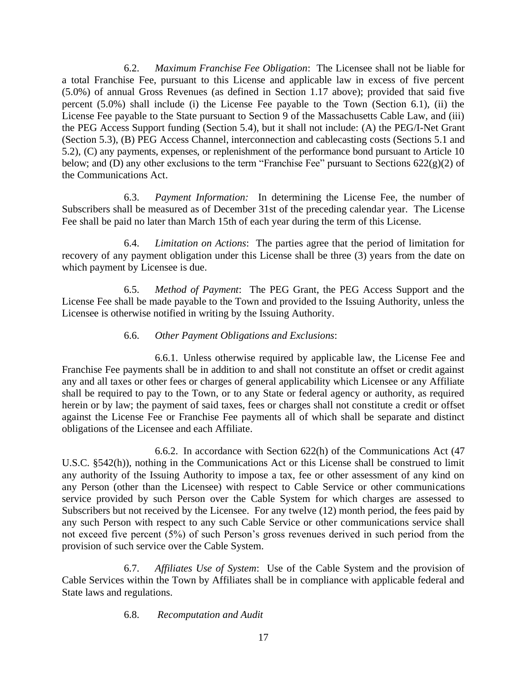6.2. *Maximum Franchise Fee Obligation*: The Licensee shall not be liable for a total Franchise Fee, pursuant to this License and applicable law in excess of five percent (5.0%) of annual Gross Revenues (as defined in Section 1.17 above); provided that said five percent (5.0%) shall include (i) the License Fee payable to the Town (Section 6.1), (ii) the License Fee payable to the State pursuant to Section 9 of the Massachusetts Cable Law, and (iii) the PEG Access Support funding (Section 5.4), but it shall not include: (A) the PEG/I-Net Grant (Section 5.3), (B) PEG Access Channel, interconnection and cablecasting costs (Sections 5.1 and 5.2), (C) any payments, expenses, or replenishment of the performance bond pursuant to Article 10 below; and (D) any other exclusions to the term "Franchise Fee" pursuant to Sections  $622(g)(2)$  of the Communications Act.

6.3. *Payment Information:* In determining the License Fee, the number of Subscribers shall be measured as of December 31st of the preceding calendar year. The License Fee shall be paid no later than March 15th of each year during the term of this License.

6.4. *Limitation on Actions*: The parties agree that the period of limitation for recovery of any payment obligation under this License shall be three (3) years from the date on which payment by Licensee is due.

6.5. *Method of Payment*: The PEG Grant, the PEG Access Support and the License Fee shall be made payable to the Town and provided to the Issuing Authority, unless the Licensee is otherwise notified in writing by the Issuing Authority.

## 6.6. *Other Payment Obligations and Exclusions*:

6.6.1. Unless otherwise required by applicable law, the License Fee and Franchise Fee payments shall be in addition to and shall not constitute an offset or credit against any and all taxes or other fees or charges of general applicability which Licensee or any Affiliate shall be required to pay to the Town, or to any State or federal agency or authority, as required herein or by law; the payment of said taxes, fees or charges shall not constitute a credit or offset against the License Fee or Franchise Fee payments all of which shall be separate and distinct obligations of the Licensee and each Affiliate.

6.6.2. In accordance with Section 622(h) of the Communications Act (47 U.S.C. §542(h)), nothing in the Communications Act or this License shall be construed to limit any authority of the Issuing Authority to impose a tax, fee or other assessment of any kind on any Person (other than the Licensee) with respect to Cable Service or other communications service provided by such Person over the Cable System for which charges are assessed to Subscribers but not received by the Licensee. For any twelve (12) month period, the fees paid by any such Person with respect to any such Cable Service or other communications service shall not exceed five percent (5%) of such Person's gross revenues derived in such period from the provision of such service over the Cable System.

6.7. *Affiliates Use of System*: Use of the Cable System and the provision of Cable Services within the Town by Affiliates shall be in compliance with applicable federal and State laws and regulations.

6.8. *Recomputation and Audit*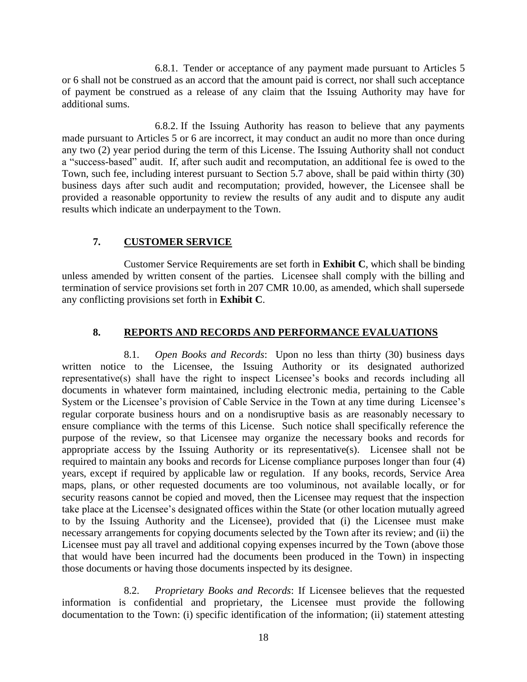6.8.1. Tender or acceptance of any payment made pursuant to Articles 5 or 6 shall not be construed as an accord that the amount paid is correct, nor shall such acceptance of payment be construed as a release of any claim that the Issuing Authority may have for additional sums.

6.8.2. If the Issuing Authority has reason to believe that any payments made pursuant to Articles 5 or 6 are incorrect, it may conduct an audit no more than once during any two (2) year period during the term of this License. The Issuing Authority shall not conduct a "success-based" audit. If, after such audit and recomputation, an additional fee is owed to the Town, such fee, including interest pursuant to Section 5.7 above, shall be paid within thirty (30) business days after such audit and recomputation; provided, however, the Licensee shall be provided a reasonable opportunity to review the results of any audit and to dispute any audit results which indicate an underpayment to the Town.

### **7. CUSTOMER SERVICE**

Customer Service Requirements are set forth in **Exhibit C**, which shall be binding unless amended by written consent of the parties. Licensee shall comply with the billing and termination of service provisions set forth in 207 CMR 10.00, as amended, which shall supersede any conflicting provisions set forth in **Exhibit C**.

#### **8. REPORTS AND RECORDS AND PERFORMANCE EVALUATIONS**

8.1. *Open Books and Records*: Upon no less than thirty (30) business days written notice to the Licensee, the Issuing Authority or its designated authorized representative(s) shall have the right to inspect Licensee's books and records including all documents in whatever form maintained, including electronic media, pertaining to the Cable System or the Licensee's provision of Cable Service in the Town at any time during Licensee's regular corporate business hours and on a nondisruptive basis as are reasonably necessary to ensure compliance with the terms of this License. Such notice shall specifically reference the purpose of the review, so that Licensee may organize the necessary books and records for appropriate access by the Issuing Authority or its representative(s). Licensee shall not be required to maintain any books and records for License compliance purposes longer than four (4) years, except if required by applicable law or regulation. If any books, records, Service Area maps, plans, or other requested documents are too voluminous, not available locally, or for security reasons cannot be copied and moved, then the Licensee may request that the inspection take place at the Licensee's designated offices within the State (or other location mutually agreed to by the Issuing Authority and the Licensee), provided that (i) the Licensee must make necessary arrangements for copying documents selected by the Town after its review; and (ii) the Licensee must pay all travel and additional copying expenses incurred by the Town (above those that would have been incurred had the documents been produced in the Town) in inspecting those documents or having those documents inspected by its designee.

8.2. *Proprietary Books and Records*: If Licensee believes that the requested information is confidential and proprietary, the Licensee must provide the following documentation to the Town: (i) specific identification of the information; (ii) statement attesting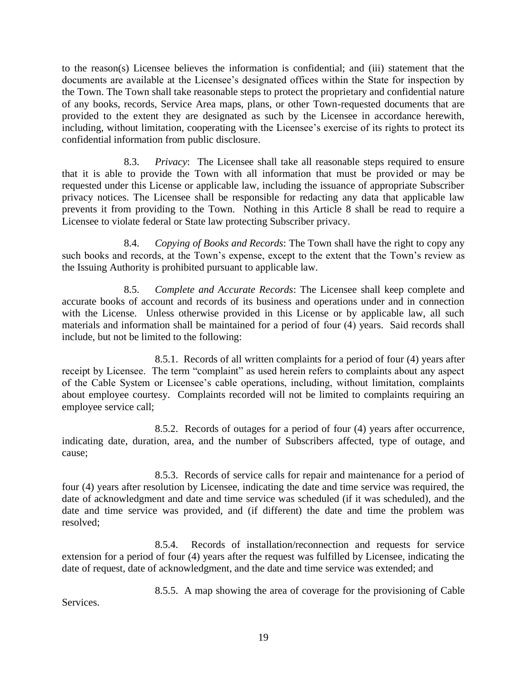to the reason(s) Licensee believes the information is confidential; and (iii) statement that the documents are available at the Licensee's designated offices within the State for inspection by the Town. The Town shall take reasonable steps to protect the proprietary and confidential nature of any books, records, Service Area maps, plans, or other Town-requested documents that are provided to the extent they are designated as such by the Licensee in accordance herewith, including, without limitation, cooperating with the Licensee's exercise of its rights to protect its confidential information from public disclosure.

8.3. *Privacy*: The Licensee shall take all reasonable steps required to ensure that it is able to provide the Town with all information that must be provided or may be requested under this License or applicable law, including the issuance of appropriate Subscriber privacy notices. The Licensee shall be responsible for redacting any data that applicable law prevents it from providing to the Town. Nothing in this Article 8 shall be read to require a Licensee to violate federal or State law protecting Subscriber privacy.

8.4. *Copying of Books and Records*: The Town shall have the right to copy any such books and records, at the Town's expense, except to the extent that the Town's review as the Issuing Authority is prohibited pursuant to applicable law.

8.5. *Complete and Accurate Records*: The Licensee shall keep complete and accurate books of account and records of its business and operations under and in connection with the License. Unless otherwise provided in this License or by applicable law, all such materials and information shall be maintained for a period of four (4) years. Said records shall include, but not be limited to the following:

8.5.1. Records of all written complaints for a period of four (4) years after receipt by Licensee. The term "complaint" as used herein refers to complaints about any aspect of the Cable System or Licensee's cable operations, including, without limitation, complaints about employee courtesy. Complaints recorded will not be limited to complaints requiring an employee service call;

8.5.2. Records of outages for a period of four (4) years after occurrence, indicating date, duration, area, and the number of Subscribers affected, type of outage, and cause;

8.5.3. Records of service calls for repair and maintenance for a period of four (4) years after resolution by Licensee, indicating the date and time service was required, the date of acknowledgment and date and time service was scheduled (if it was scheduled), and the date and time service was provided, and (if different) the date and time the problem was resolved;

8.5.4. Records of installation/reconnection and requests for service extension for a period of four (4) years after the request was fulfilled by Licensee, indicating the date of request, date of acknowledgment, and the date and time service was extended; and

8.5.5. A map showing the area of coverage for the provisioning of Cable

Services.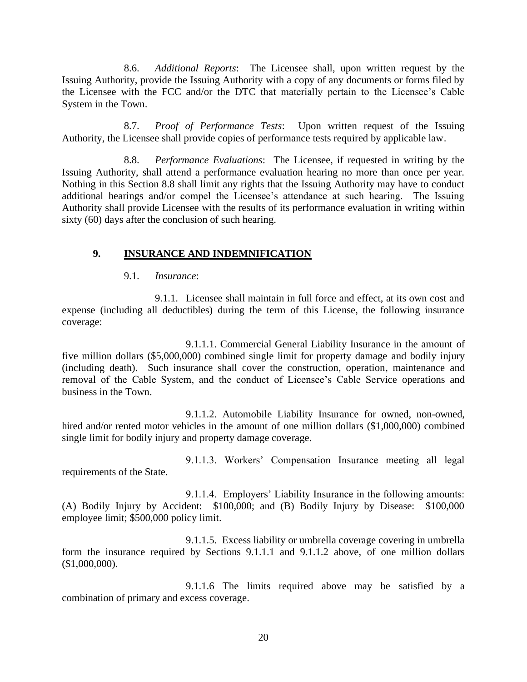8.6. *Additional Reports*: The Licensee shall, upon written request by the Issuing Authority, provide the Issuing Authority with a copy of any documents or forms filed by the Licensee with the FCC and/or the DTC that materially pertain to the Licensee's Cable System in the Town.

8.7. *Proof of Performance Tests*: Upon written request of the Issuing Authority, the Licensee shall provide copies of performance tests required by applicable law.

8.8. *Performance Evaluations*: The Licensee, if requested in writing by the Issuing Authority, shall attend a performance evaluation hearing no more than once per year. Nothing in this Section 8.8 shall limit any rights that the Issuing Authority may have to conduct additional hearings and/or compel the Licensee's attendance at such hearing. The Issuing Authority shall provide Licensee with the results of its performance evaluation in writing within sixty (60) days after the conclusion of such hearing.

### **9. INSURANCE AND INDEMNIFICATION**

#### 9.1. *Insurance*:

9.1.1. Licensee shall maintain in full force and effect, at its own cost and expense (including all deductibles) during the term of this License, the following insurance coverage:

9.1.1.1. Commercial General Liability Insurance in the amount of five million dollars (\$5,000,000) combined single limit for property damage and bodily injury (including death). Such insurance shall cover the construction, operation, maintenance and removal of the Cable System, and the conduct of Licensee's Cable Service operations and business in the Town.

9.1.1.2. Automobile Liability Insurance for owned, non-owned, hired and/or rented motor vehicles in the amount of one million dollars (\$1,000,000) combined single limit for bodily injury and property damage coverage.

requirements of the State.

9.1.1.3. Workers' Compensation Insurance meeting all legal

9.1.1.4. Employers' Liability Insurance in the following amounts: (A) Bodily Injury by Accident: \$100,000; and (B) Bodily Injury by Disease: \$100,000 employee limit; \$500,000 policy limit.

9.1.1.5. Excess liability or umbrella coverage covering in umbrella form the insurance required by Sections 9.1.1.1 and 9.1.1.2 above, of one million dollars (\$1,000,000).

9.1.1.6 The limits required above may be satisfied by a combination of primary and excess coverage.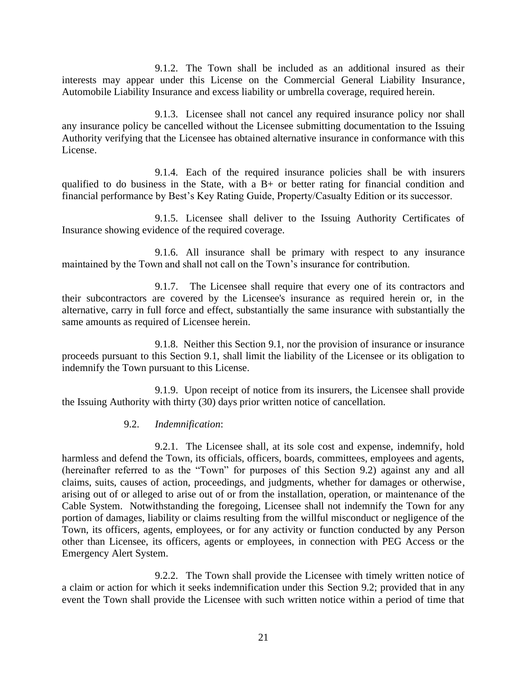9.1.2. The Town shall be included as an additional insured as their interests may appear under this License on the Commercial General Liability Insurance, Automobile Liability Insurance and excess liability or umbrella coverage, required herein.

9.1.3. Licensee shall not cancel any required insurance policy nor shall any insurance policy be cancelled without the Licensee submitting documentation to the Issuing Authority verifying that the Licensee has obtained alternative insurance in conformance with this License.

9.1.4. Each of the required insurance policies shall be with insurers qualified to do business in the State, with a B+ or better rating for financial condition and financial performance by Best's Key Rating Guide, Property/Casualty Edition or its successor.

9.1.5. Licensee shall deliver to the Issuing Authority Certificates of Insurance showing evidence of the required coverage.

9.1.6. All insurance shall be primary with respect to any insurance maintained by the Town and shall not call on the Town's insurance for contribution.

9.1.7. The Licensee shall require that every one of its contractors and their subcontractors are covered by the Licensee's insurance as required herein or, in the alternative, carry in full force and effect, substantially the same insurance with substantially the same amounts as required of Licensee herein.

9.1.8. Neither this Section 9.1, nor the provision of insurance or insurance proceeds pursuant to this Section 9.1, shall limit the liability of the Licensee or its obligation to indemnify the Town pursuant to this License.

9.1.9. Upon receipt of notice from its insurers, the Licensee shall provide the Issuing Authority with thirty (30) days prior written notice of cancellation.

#### 9.2. *Indemnification*:

9.2.1. The Licensee shall, at its sole cost and expense, indemnify, hold harmless and defend the Town, its officials, officers, boards, committees, employees and agents, (hereinafter referred to as the "Town" for purposes of this Section 9.2) against any and all claims, suits, causes of action, proceedings, and judgments, whether for damages or otherwise, arising out of or alleged to arise out of or from the installation, operation, or maintenance of the Cable System. Notwithstanding the foregoing, Licensee shall not indemnify the Town for any portion of damages, liability or claims resulting from the willful misconduct or negligence of the Town, its officers, agents, employees, or for any activity or function conducted by any Person other than Licensee, its officers, agents or employees, in connection with PEG Access or the Emergency Alert System.

9.2.2. The Town shall provide the Licensee with timely written notice of a claim or action for which it seeks indemnification under this Section 9.2; provided that in any event the Town shall provide the Licensee with such written notice within a period of time that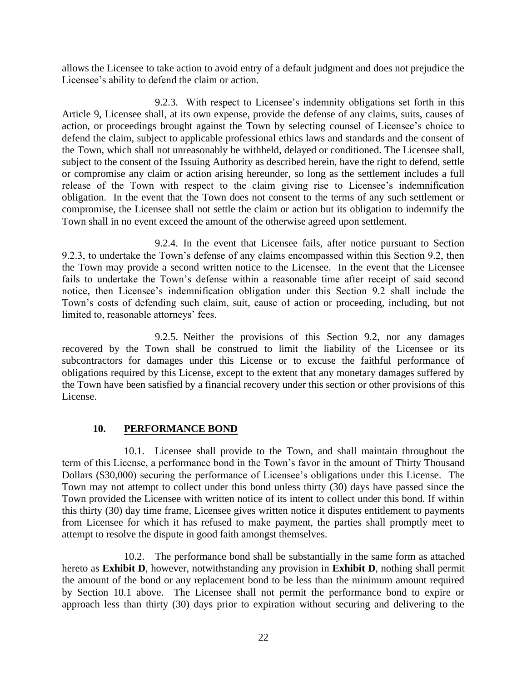allows the Licensee to take action to avoid entry of a default judgment and does not prejudice the Licensee's ability to defend the claim or action.

9.2.3. With respect to Licensee's indemnity obligations set forth in this Article 9, Licensee shall, at its own expense, provide the defense of any claims, suits, causes of action, or proceedings brought against the Town by selecting counsel of Licensee's choice to defend the claim, subject to applicable professional ethics laws and standards and the consent of the Town, which shall not unreasonably be withheld, delayed or conditioned. The Licensee shall, subject to the consent of the Issuing Authority as described herein, have the right to defend, settle or compromise any claim or action arising hereunder, so long as the settlement includes a full release of the Town with respect to the claim giving rise to Licensee's indemnification obligation. In the event that the Town does not consent to the terms of any such settlement or compromise, the Licensee shall not settle the claim or action but its obligation to indemnify the Town shall in no event exceed the amount of the otherwise agreed upon settlement.

9.2.4. In the event that Licensee fails, after notice pursuant to Section 9.2.3, to undertake the Town's defense of any claims encompassed within this Section 9.2, then the Town may provide a second written notice to the Licensee. In the event that the Licensee fails to undertake the Town's defense within a reasonable time after receipt of said second notice, then Licensee's indemnification obligation under this Section 9.2 shall include the Town's costs of defending such claim, suit, cause of action or proceeding, including, but not limited to, reasonable attorneys' fees.

9.2.5. Neither the provisions of this Section 9.2, nor any damages recovered by the Town shall be construed to limit the liability of the Licensee or its subcontractors for damages under this License or to excuse the faithful performance of obligations required by this License, except to the extent that any monetary damages suffered by the Town have been satisfied by a financial recovery under this section or other provisions of this License.

## **10. PERFORMANCE BOND**

10.1. Licensee shall provide to the Town, and shall maintain throughout the term of this License, a performance bond in the Town's favor in the amount of Thirty Thousand Dollars (\$30,000) securing the performance of Licensee's obligations under this License. The Town may not attempt to collect under this bond unless thirty (30) days have passed since the Town provided the Licensee with written notice of its intent to collect under this bond. If within this thirty (30) day time frame, Licensee gives written notice it disputes entitlement to payments from Licensee for which it has refused to make payment, the parties shall promptly meet to attempt to resolve the dispute in good faith amongst themselves.

10.2. The performance bond shall be substantially in the same form as attached hereto as **Exhibit D**, however, notwithstanding any provision in **Exhibit D**, nothing shall permit the amount of the bond or any replacement bond to be less than the minimum amount required by Section 10.1 above. The Licensee shall not permit the performance bond to expire or approach less than thirty (30) days prior to expiration without securing and delivering to the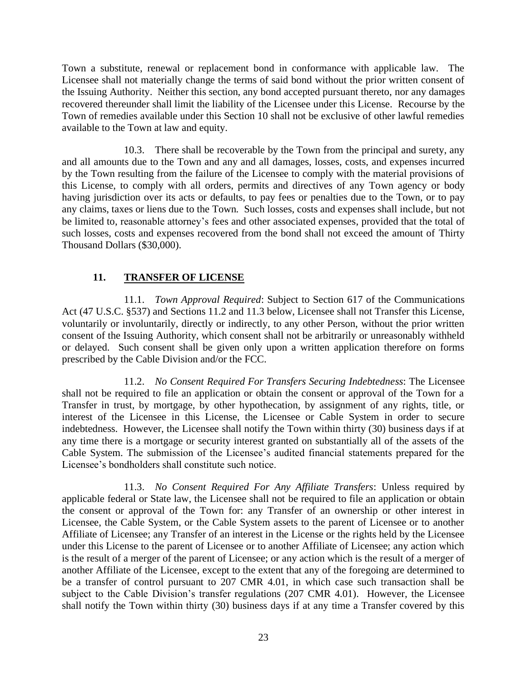Town a substitute, renewal or replacement bond in conformance with applicable law. The Licensee shall not materially change the terms of said bond without the prior written consent of the Issuing Authority. Neither this section, any bond accepted pursuant thereto, nor any damages recovered thereunder shall limit the liability of the Licensee under this License. Recourse by the Town of remedies available under this Section 10 shall not be exclusive of other lawful remedies available to the Town at law and equity.

10.3. There shall be recoverable by the Town from the principal and surety, any and all amounts due to the Town and any and all damages, losses, costs, and expenses incurred by the Town resulting from the failure of the Licensee to comply with the material provisions of this License, to comply with all orders, permits and directives of any Town agency or body having jurisdiction over its acts or defaults, to pay fees or penalties due to the Town, or to pay any claims, taxes or liens due to the Town. Such losses, costs and expenses shall include, but not be limited to, reasonable attorney's fees and other associated expenses, provided that the total of such losses, costs and expenses recovered from the bond shall not exceed the amount of Thirty Thousand Dollars (\$30,000).

## **11. TRANSFER OF LICENSE**

11.1. *Town Approval Required*: Subject to Section 617 of the Communications Act (47 U.S.C. §537) and Sections 11.2 and 11.3 below, Licensee shall not Transfer this License, voluntarily or involuntarily, directly or indirectly, to any other Person, without the prior written consent of the Issuing Authority, which consent shall not be arbitrarily or unreasonably withheld or delayed. Such consent shall be given only upon a written application therefore on forms prescribed by the Cable Division and/or the FCC.

11.2. *No Consent Required For Transfers Securing Indebtedness*: The Licensee shall not be required to file an application or obtain the consent or approval of the Town for a Transfer in trust, by mortgage, by other hypothecation, by assignment of any rights, title, or interest of the Licensee in this License, the Licensee or Cable System in order to secure indebtedness. However, the Licensee shall notify the Town within thirty (30) business days if at any time there is a mortgage or security interest granted on substantially all of the assets of the Cable System. The submission of the Licensee's audited financial statements prepared for the Licensee's bondholders shall constitute such notice.

11.3. *No Consent Required For Any Affiliate Transfers*: Unless required by applicable federal or State law, the Licensee shall not be required to file an application or obtain the consent or approval of the Town for: any Transfer of an ownership or other interest in Licensee, the Cable System, or the Cable System assets to the parent of Licensee or to another Affiliate of Licensee; any Transfer of an interest in the License or the rights held by the Licensee under this License to the parent of Licensee or to another Affiliate of Licensee; any action which is the result of a merger of the parent of Licensee; or any action which is the result of a merger of another Affiliate of the Licensee, except to the extent that any of the foregoing are determined to be a transfer of control pursuant to 207 CMR 4.01, in which case such transaction shall be subject to the Cable Division's transfer regulations (207 CMR 4.01). However, the Licensee shall notify the Town within thirty (30) business days if at any time a Transfer covered by this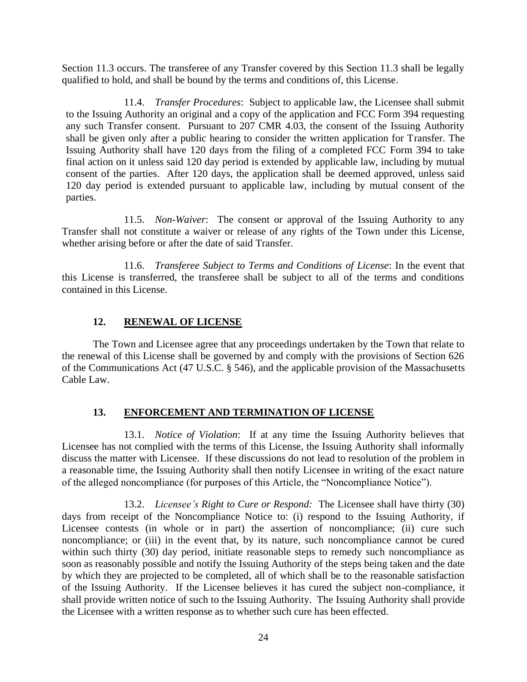Section 11.3 occurs. The transferee of any Transfer covered by this Section 11.3 shall be legally qualified to hold, and shall be bound by the terms and conditions of, this License.

11.4. *Transfer Procedures*: Subject to applicable law, the Licensee shall submit to the Issuing Authority an original and a copy of the application and FCC Form 394 requesting any such Transfer consent. Pursuant to 207 CMR 4.03, the consent of the Issuing Authority shall be given only after a public hearing to consider the written application for Transfer. The Issuing Authority shall have 120 days from the filing of a completed FCC Form 394 to take final action on it unless said 120 day period is extended by applicable law, including by mutual consent of the parties. After 120 days, the application shall be deemed approved, unless said 120 day period is extended pursuant to applicable law, including by mutual consent of the parties.

11.5. *Non-Waiver*: The consent or approval of the Issuing Authority to any Transfer shall not constitute a waiver or release of any rights of the Town under this License, whether arising before or after the date of said Transfer.

11.6. *Transferee Subject to Terms and Conditions of License*: In the event that this License is transferred, the transferee shall be subject to all of the terms and conditions contained in this License.

## **12. RENEWAL OF LICENSE**

The Town and Licensee agree that any proceedings undertaken by the Town that relate to the renewal of this License shall be governed by and comply with the provisions of Section 626 of the Communications Act (47 U.S.C. § 546), and the applicable provision of the Massachusetts Cable Law.

## **13. ENFORCEMENT AND TERMINATION OF LICENSE**

13.1. *Notice of Violation*: If at any time the Issuing Authority believes that Licensee has not complied with the terms of this License, the Issuing Authority shall informally discuss the matter with Licensee. If these discussions do not lead to resolution of the problem in a reasonable time, the Issuing Authority shall then notify Licensee in writing of the exact nature of the alleged noncompliance (for purposes of this Article, the "Noncompliance Notice").

13.2. *Licensee's Right to Cure or Respond:* The Licensee shall have thirty (30) days from receipt of the Noncompliance Notice to: (i) respond to the Issuing Authority, if Licensee contests (in whole or in part) the assertion of noncompliance; (ii) cure such noncompliance; or (iii) in the event that, by its nature, such noncompliance cannot be cured within such thirty (30) day period, initiate reasonable steps to remedy such noncompliance as soon as reasonably possible and notify the Issuing Authority of the steps being taken and the date by which they are projected to be completed, all of which shall be to the reasonable satisfaction of the Issuing Authority. If the Licensee believes it has cured the subject non-compliance, it shall provide written notice of such to the Issuing Authority. The Issuing Authority shall provide the Licensee with a written response as to whether such cure has been effected.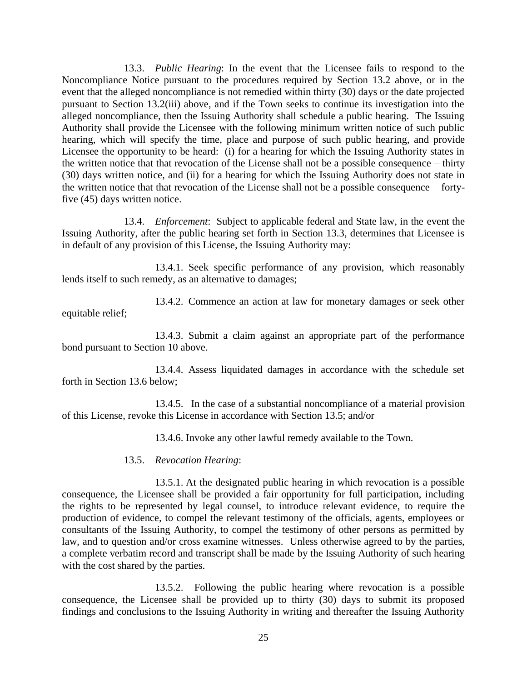13.3. *Public Hearing*: In the event that the Licensee fails to respond to the Noncompliance Notice pursuant to the procedures required by Section 13.2 above, or in the event that the alleged noncompliance is not remedied within thirty (30) days or the date projected pursuant to Section 13.2(iii) above, and if the Town seeks to continue its investigation into the alleged noncompliance, then the Issuing Authority shall schedule a public hearing. The Issuing Authority shall provide the Licensee with the following minimum written notice of such public hearing, which will specify the time, place and purpose of such public hearing, and provide Licensee the opportunity to be heard: (i) for a hearing for which the Issuing Authority states in the written notice that that revocation of the License shall not be a possible consequence – thirty (30) days written notice, and (ii) for a hearing for which the Issuing Authority does not state in the written notice that that revocation of the License shall not be a possible consequence – fortyfive (45) days written notice.

13.4. *Enforcement*: Subject to applicable federal and State law, in the event the Issuing Authority, after the public hearing set forth in Section 13.3, determines that Licensee is in default of any provision of this License, the Issuing Authority may:

13.4.1. Seek specific performance of any provision, which reasonably lends itself to such remedy, as an alternative to damages;

13.4.2. Commence an action at law for monetary damages or seek other equitable relief;

13.4.3. Submit a claim against an appropriate part of the performance bond pursuant to Section 10 above.

13.4.4. Assess liquidated damages in accordance with the schedule set forth in Section 13.6 below;

13.4.5. In the case of a substantial noncompliance of a material provision of this License, revoke this License in accordance with Section 13.5; and/or

13.4.6. Invoke any other lawful remedy available to the Town.

#### 13.5. *Revocation Hearing*:

13.5.1. At the designated public hearing in which revocation is a possible consequence, the Licensee shall be provided a fair opportunity for full participation, including the rights to be represented by legal counsel, to introduce relevant evidence, to require the production of evidence, to compel the relevant testimony of the officials, agents, employees or consultants of the Issuing Authority, to compel the testimony of other persons as permitted by law, and to question and/or cross examine witnesses. Unless otherwise agreed to by the parties, a complete verbatim record and transcript shall be made by the Issuing Authority of such hearing with the cost shared by the parties.

13.5.2. Following the public hearing where revocation is a possible consequence, the Licensee shall be provided up to thirty (30) days to submit its proposed findings and conclusions to the Issuing Authority in writing and thereafter the Issuing Authority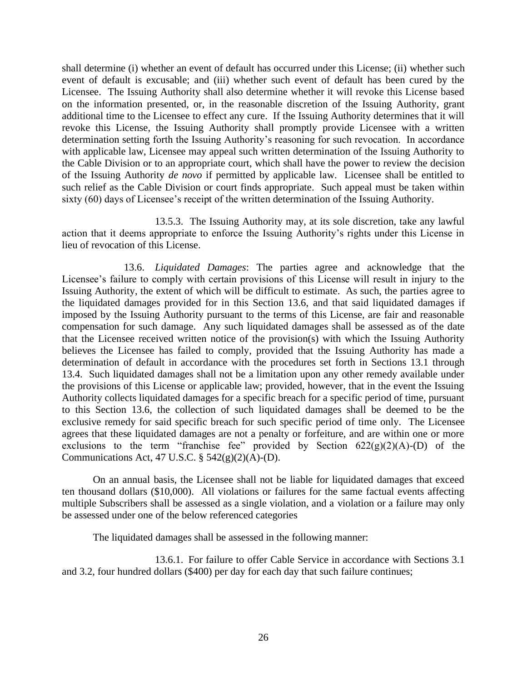shall determine (i) whether an event of default has occurred under this License; (ii) whether such event of default is excusable; and (iii) whether such event of default has been cured by the Licensee. The Issuing Authority shall also determine whether it will revoke this License based on the information presented, or, in the reasonable discretion of the Issuing Authority, grant additional time to the Licensee to effect any cure. If the Issuing Authority determines that it will revoke this License, the Issuing Authority shall promptly provide Licensee with a written determination setting forth the Issuing Authority's reasoning for such revocation. In accordance with applicable law, Licensee may appeal such written determination of the Issuing Authority to the Cable Division or to an appropriate court, which shall have the power to review the decision of the Issuing Authority *de novo* if permitted by applicable law. Licensee shall be entitled to such relief as the Cable Division or court finds appropriate. Such appeal must be taken within sixty (60) days of Licensee's receipt of the written determination of the Issuing Authority.

13.5.3. The Issuing Authority may, at its sole discretion, take any lawful action that it deems appropriate to enforce the Issuing Authority's rights under this License in lieu of revocation of this License.

13.6. *Liquidated Damages*: The parties agree and acknowledge that the Licensee's failure to comply with certain provisions of this License will result in injury to the Issuing Authority, the extent of which will be difficult to estimate. As such, the parties agree to the liquidated damages provided for in this Section 13.6, and that said liquidated damages if imposed by the Issuing Authority pursuant to the terms of this License, are fair and reasonable compensation for such damage. Any such liquidated damages shall be assessed as of the date that the Licensee received written notice of the provision(s) with which the Issuing Authority believes the Licensee has failed to comply, provided that the Issuing Authority has made a determination of default in accordance with the procedures set forth in Sections 13.1 through 13.4. Such liquidated damages shall not be a limitation upon any other remedy available under the provisions of this License or applicable law; provided, however, that in the event the Issuing Authority collects liquidated damages for a specific breach for a specific period of time, pursuant to this Section 13.6, the collection of such liquidated damages shall be deemed to be the exclusive remedy for said specific breach for such specific period of time only. The Licensee agrees that these liquidated damages are not a penalty or forfeiture, and are within one or more exclusions to the term "franchise fee" provided by Section  $622(g)(2)(A)-(D)$  of the Communications Act, 47 U.S.C.  $\S$  542(g)(2)(A)-(D).

On an annual basis, the Licensee shall not be liable for liquidated damages that exceed ten thousand dollars (\$10,000). All violations or failures for the same factual events affecting multiple Subscribers shall be assessed as a single violation, and a violation or a failure may only be assessed under one of the below referenced categories

The liquidated damages shall be assessed in the following manner:

13.6.1. For failure to offer Cable Service in accordance with Sections 3.1 and 3.2, four hundred dollars (\$400) per day for each day that such failure continues;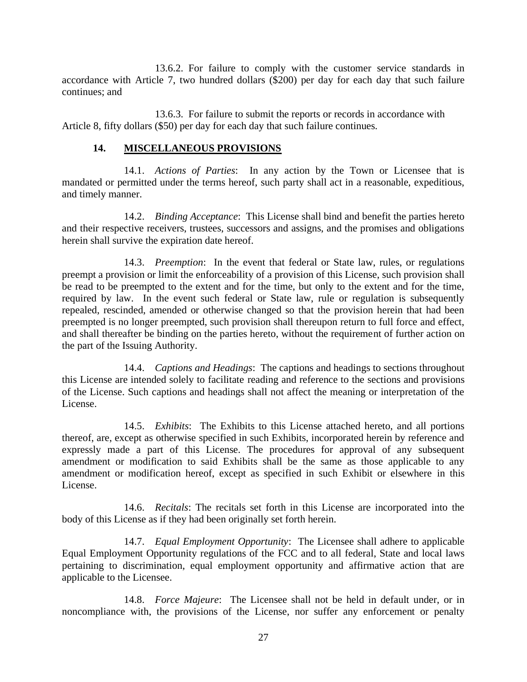13.6.2. For failure to comply with the customer service standards in accordance with Article 7, two hundred dollars (\$200) per day for each day that such failure continues; and

13.6.3. For failure to submit the reports or records in accordance with Article 8, fifty dollars (\$50) per day for each day that such failure continues.

### **14. MISCELLANEOUS PROVISIONS**

14.1. *Actions of Parties*: In any action by the Town or Licensee that is mandated or permitted under the terms hereof, such party shall act in a reasonable, expeditious, and timely manner.

14.2. *Binding Acceptance*: This License shall bind and benefit the parties hereto and their respective receivers, trustees, successors and assigns, and the promises and obligations herein shall survive the expiration date hereof.

14.3. *Preemption*: In the event that federal or State law, rules, or regulations preempt a provision or limit the enforceability of a provision of this License, such provision shall be read to be preempted to the extent and for the time, but only to the extent and for the time, required by law. In the event such federal or State law, rule or regulation is subsequently repealed, rescinded, amended or otherwise changed so that the provision herein that had been preempted is no longer preempted, such provision shall thereupon return to full force and effect, and shall thereafter be binding on the parties hereto, without the requirement of further action on the part of the Issuing Authority.

14.4. *Captions and Headings*: The captions and headings to sections throughout this License are intended solely to facilitate reading and reference to the sections and provisions of the License. Such captions and headings shall not affect the meaning or interpretation of the License.

14.5. *Exhibits*: The Exhibits to this License attached hereto, and all portions thereof, are, except as otherwise specified in such Exhibits, incorporated herein by reference and expressly made a part of this License. The procedures for approval of any subsequent amendment or modification to said Exhibits shall be the same as those applicable to any amendment or modification hereof, except as specified in such Exhibit or elsewhere in this License.

14.6. *Recitals*: The recitals set forth in this License are incorporated into the body of this License as if they had been originally set forth herein.

14.7. *Equal Employment Opportunity*: The Licensee shall adhere to applicable Equal Employment Opportunity regulations of the FCC and to all federal, State and local laws pertaining to discrimination, equal employment opportunity and affirmative action that are applicable to the Licensee.

14.8. *Force Majeure*: The Licensee shall not be held in default under, or in noncompliance with, the provisions of the License, nor suffer any enforcement or penalty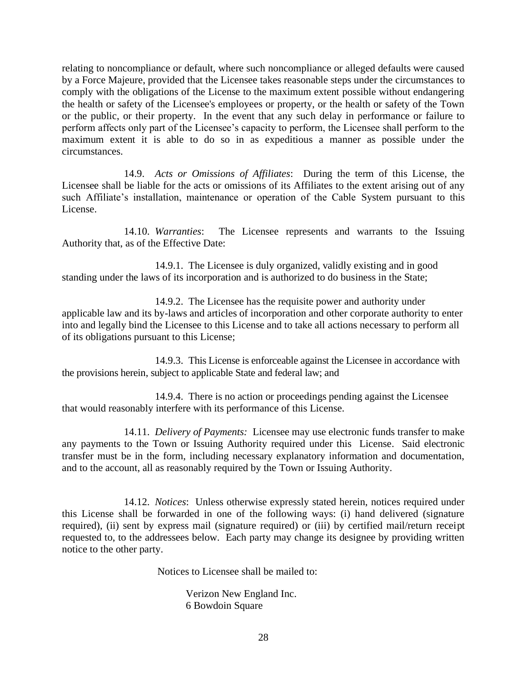relating to noncompliance or default, where such noncompliance or alleged defaults were caused by a Force Majeure, provided that the Licensee takes reasonable steps under the circumstances to comply with the obligations of the License to the maximum extent possible without endangering the health or safety of the Licensee's employees or property, or the health or safety of the Town or the public, or their property. In the event that any such delay in performance or failure to perform affects only part of the Licensee's capacity to perform, the Licensee shall perform to the maximum extent it is able to do so in as expeditious a manner as possible under the circumstances.

14.9. *Acts or Omissions of Affiliates*: During the term of this License, the Licensee shall be liable for the acts or omissions of its Affiliates to the extent arising out of any such Affiliate's installation, maintenance or operation of the Cable System pursuant to this License.

14.10. *Warranties*: The Licensee represents and warrants to the Issuing Authority that, as of the Effective Date:

 14.9.1. The Licensee is duly organized, validly existing and in good standing under the laws of its incorporation and is authorized to do business in the State;

14.9.2. The Licensee has the requisite power and authority under applicable law and its by-laws and articles of incorporation and other corporate authority to enter into and legally bind the Licensee to this License and to take all actions necessary to perform all of its obligations pursuant to this License;

14.9.3. This License is enforceable against the Licensee in accordance with the provisions herein, subject to applicable State and federal law; and

14.9.4. There is no action or proceedings pending against the Licensee that would reasonably interfere with its performance of this License.

14.11. *Delivery of Payments:* Licensee may use electronic funds transfer to make any payments to the Town or Issuing Authority required under this License. Said electronic transfer must be in the form, including necessary explanatory information and documentation, and to the account, all as reasonably required by the Town or Issuing Authority.

14.12. *Notices*: Unless otherwise expressly stated herein, notices required under this License shall be forwarded in one of the following ways: (i) hand delivered (signature required), (ii) sent by express mail (signature required) or (iii) by certified mail/return receipt requested to, to the addressees below. Each party may change its designee by providing written notice to the other party.

Notices to Licensee shall be mailed to:

Verizon New England Inc. 6 Bowdoin Square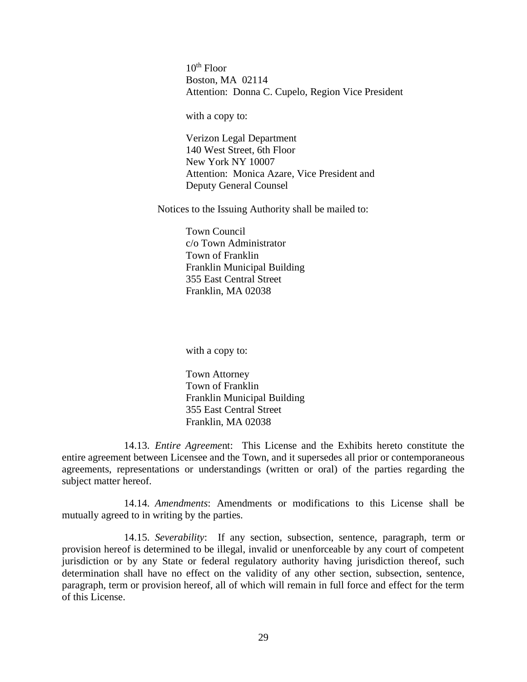$10^{th}$  Floor Boston, MA 02114 Attention: Donna C. Cupelo, Region Vice President

with a copy to:

Verizon Legal Department 140 West Street, 6th Floor New York NY 10007 Attention: Monica Azare, Vice President and Deputy General Counsel

Notices to the Issuing Authority shall be mailed to:

Town Council c/o Town Administrator Town of Franklin Franklin Municipal Building 355 East Central Street Franklin, MA 02038

with a copy to:

Town Attorney Town of Franklin Franklin Municipal Building 355 East Central Street Franklin, MA 02038

14.13. *Entire Agreeme*nt: This License and the Exhibits hereto constitute the entire agreement between Licensee and the Town, and it supersedes all prior or contemporaneous agreements, representations or understandings (written or oral) of the parties regarding the subject matter hereof.

14.14. *Amendments*: Amendments or modifications to this License shall be mutually agreed to in writing by the parties.

14.15. *Severability*: If any section, subsection, sentence, paragraph, term or provision hereof is determined to be illegal, invalid or unenforceable by any court of competent jurisdiction or by any State or federal regulatory authority having jurisdiction thereof, such determination shall have no effect on the validity of any other section, subsection, sentence, paragraph, term or provision hereof, all of which will remain in full force and effect for the term of this License.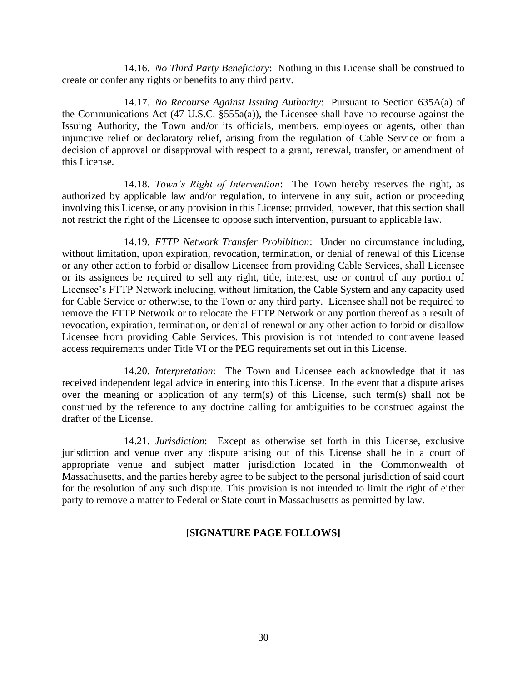14.16. *No Third Party Beneficiary*: Nothing in this License shall be construed to create or confer any rights or benefits to any third party.

14.17. *No Recourse Against Issuing Authority*: Pursuant to Section 635A(a) of the Communications Act (47 U.S.C. §555a(a)), the Licensee shall have no recourse against the Issuing Authority, the Town and/or its officials, members, employees or agents, other than injunctive relief or declaratory relief, arising from the regulation of Cable Service or from a decision of approval or disapproval with respect to a grant, renewal, transfer, or amendment of this License.

14.18. *Town's Right of Intervention*: The Town hereby reserves the right, as authorized by applicable law and/or regulation, to intervene in any suit, action or proceeding involving this License, or any provision in this License; provided, however, that this section shall not restrict the right of the Licensee to oppose such intervention, pursuant to applicable law.

14.19. *FTTP Network Transfer Prohibition*: Under no circumstance including, without limitation, upon expiration, revocation, termination, or denial of renewal of this License or any other action to forbid or disallow Licensee from providing Cable Services, shall Licensee or its assignees be required to sell any right, title, interest, use or control of any portion of Licensee's FTTP Network including, without limitation, the Cable System and any capacity used for Cable Service or otherwise, to the Town or any third party. Licensee shall not be required to remove the FTTP Network or to relocate the FTTP Network or any portion thereof as a result of revocation, expiration, termination, or denial of renewal or any other action to forbid or disallow Licensee from providing Cable Services. This provision is not intended to contravene leased access requirements under Title VI or the PEG requirements set out in this License.

14.20. *Interpretation*: The Town and Licensee each acknowledge that it has received independent legal advice in entering into this License. In the event that a dispute arises over the meaning or application of any term(s) of this License, such term(s) shall not be construed by the reference to any doctrine calling for ambiguities to be construed against the drafter of the License.

14.21. *Jurisdiction*: Except as otherwise set forth in this License, exclusive jurisdiction and venue over any dispute arising out of this License shall be in a court of appropriate venue and subject matter jurisdiction located in the Commonwealth of Massachusetts, and the parties hereby agree to be subject to the personal jurisdiction of said court for the resolution of any such dispute. This provision is not intended to limit the right of either party to remove a matter to Federal or State court in Massachusetts as permitted by law.

## **[SIGNATURE PAGE FOLLOWS]**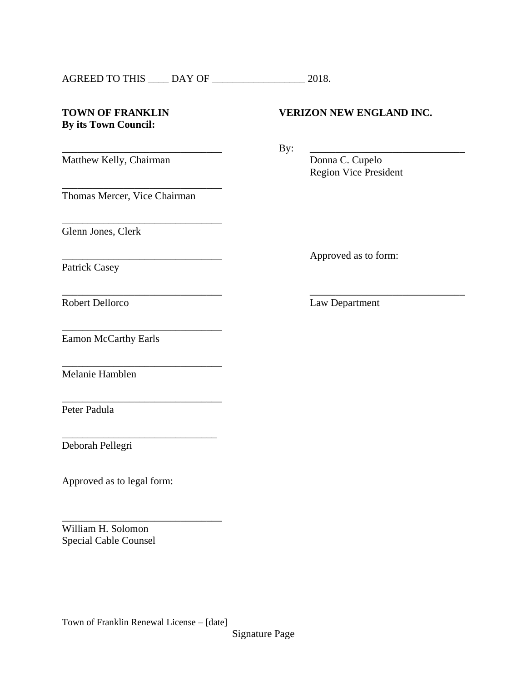| <b>AGREED TO THIS</b><br>DAY OF | 2018. |
|---------------------------------|-------|
|---------------------------------|-------|

### **TOWN OF FRANKLIN VERIZON NEW ENGLAND INC. By its Town Council:**

\_\_\_\_\_\_\_\_\_\_\_\_\_\_\_\_\_\_\_\_\_\_\_\_\_\_\_\_\_\_\_ By: \_\_\_\_\_\_\_\_\_\_\_\_\_\_\_\_\_\_\_\_\_\_\_\_\_\_\_\_\_\_

 $\overline{\phantom{a}}$  , and the contract of the contract of the contract of the contract of the contract of the contract of the contract of the contract of the contract of the contract of the contract of the contract of the contrac

Matthew Kelly, Chairman Donna C. Cupelo

Thomas Mercer, Vice Chairman

\_\_\_\_\_\_\_\_\_\_\_\_\_\_\_\_\_\_\_\_\_\_\_\_\_\_\_\_\_\_\_

\_\_\_\_\_\_\_\_\_\_\_\_\_\_\_\_\_\_\_\_\_\_\_\_\_\_\_\_\_\_\_

\_\_\_\_\_\_\_\_\_\_\_\_\_\_\_\_\_\_\_\_\_\_\_\_\_\_\_\_\_\_\_

\_\_\_\_\_\_\_\_\_\_\_\_\_\_\_\_\_\_\_\_\_\_\_\_\_\_\_\_\_\_\_

\_\_\_\_\_\_\_\_\_\_\_\_\_\_\_\_\_\_\_\_\_\_\_\_\_\_\_\_\_\_\_

\_\_\_\_\_\_\_\_\_\_\_\_\_\_\_\_\_\_\_\_\_\_\_\_\_\_\_\_\_\_

\_\_\_\_\_\_\_\_\_\_\_\_\_\_\_\_\_\_\_\_\_\_\_\_\_\_\_\_\_\_\_

Glenn Jones, Clerk

Patrick Casey

Approved as to form:

Region Vice President

Robert Dellorco Law Department

Eamon McCarthy Earls

Melanie Hamblen

Peter Padula

Deborah Pellegri

Approved as to legal form:

William H. Solomon Special Cable Counsel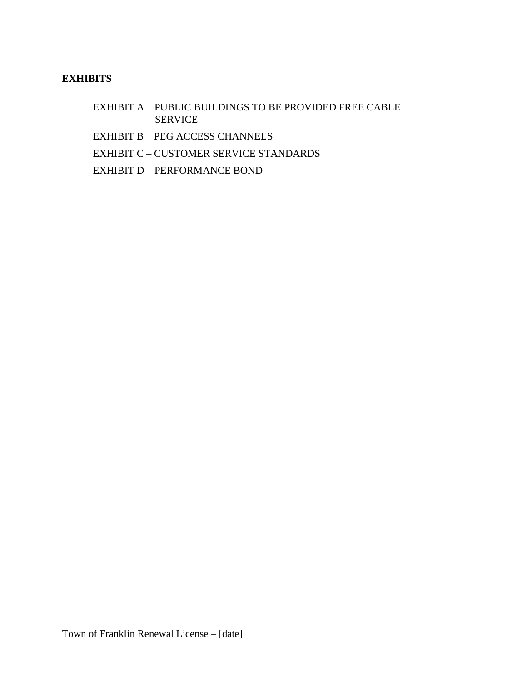## **EXHIBITS**

- EXHIBIT A PUBLIC BUILDINGS TO BE PROVIDED FREE CABLE SERVICE
- EXHIBIT B PEG ACCESS CHANNELS
- EXHIBIT C CUSTOMER SERVICE STANDARDS
- EXHIBIT D PERFORMANCE BOND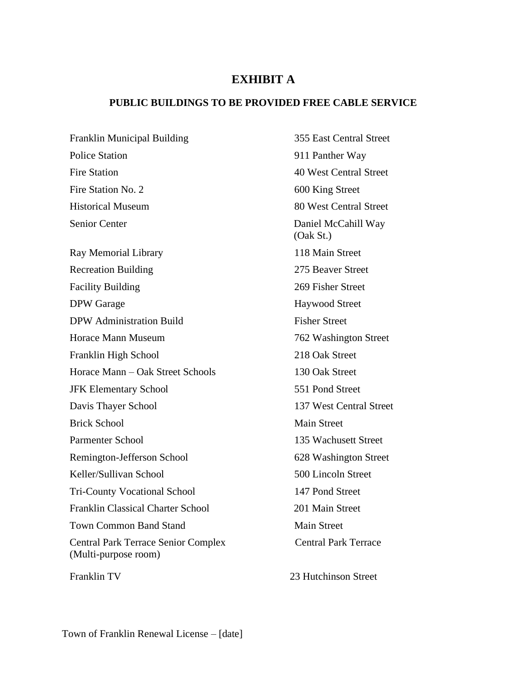## **EXHIBIT A**

## **PUBLIC BUILDINGS TO BE PROVIDED FREE CABLE SERVICE**

Franklin Municipal Building 355 East Central Street Police Station 911 Panther Way Fire Station 40 West Central Street Fire Station No. 2 600 King Street Historical Museum 80 West Central Street Senior Center Daniel McCahill Way Ray Memorial Library 118 Main Street Recreation Building Facility Building DPW Garage Haywood Street DPW Administration Build Fisher Street Horace Mann Museum 762 Washington Street Franklin High School 218 Oak Street Horace Mann – Oak Street Schools 130 Oak Street JFK Elementary School 551 Pond Street Davis Thayer School 137 West Central Street Brick School Main Street Parmenter School 135 Wachusett Street Remington-Jefferson School 628 Washington Street Keller/Sullivan School 500 Lincoln Street Tri-County Vocational School 147 Pond Street Franklin Classical Charter School 201 Main Street Town Common Band Stand Main Street Central Park Terrace Senior Complex (Multi-purpose room) Franklin TV

(Oak St.) 275 Beaver Street 269 Fisher Street Central Park Terrace

23 Hutchinson Street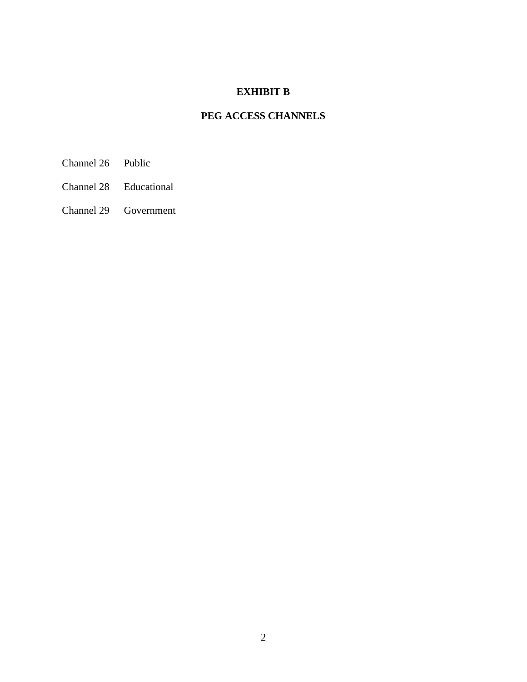## **EXHIBIT B**

# **PEG ACCESS CHANNELS**

- Channel 26 Public
- Channel 28 Educational
- Channel 29 Government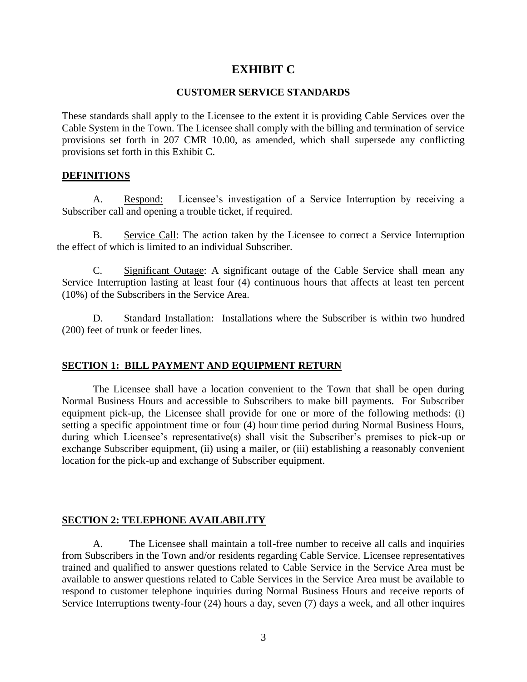## **EXHIBIT C**

#### **CUSTOMER SERVICE STANDARDS**

These standards shall apply to the Licensee to the extent it is providing Cable Services over the Cable System in the Town. The Licensee shall comply with the billing and termination of service provisions set forth in 207 CMR 10.00, as amended, which shall supersede any conflicting provisions set forth in this Exhibit C.

#### **DEFINITIONS**

A. Respond: Licensee's investigation of a Service Interruption by receiving a Subscriber call and opening a trouble ticket, if required.

B. Service Call: The action taken by the Licensee to correct a Service Interruption the effect of which is limited to an individual Subscriber.

C. Significant Outage: A significant outage of the Cable Service shall mean any Service Interruption lasting at least four (4) continuous hours that affects at least ten percent (10%) of the Subscribers in the Service Area.

D. Standard Installation: Installations where the Subscriber is within two hundred (200) feet of trunk or feeder lines.

### **SECTION 1: BILL PAYMENT AND EQUIPMENT RETURN**

The Licensee shall have a location convenient to the Town that shall be open during Normal Business Hours and accessible to Subscribers to make bill payments. For Subscriber equipment pick-up, the Licensee shall provide for one or more of the following methods: (i) setting a specific appointment time or four (4) hour time period during Normal Business Hours, during which Licensee's representative(s) shall visit the Subscriber's premises to pick-up or exchange Subscriber equipment, (ii) using a mailer, or (iii) establishing a reasonably convenient location for the pick-up and exchange of Subscriber equipment.

### **SECTION 2: TELEPHONE AVAILABILITY**

A. The Licensee shall maintain a toll-free number to receive all calls and inquiries from Subscribers in the Town and/or residents regarding Cable Service. Licensee representatives trained and qualified to answer questions related to Cable Service in the Service Area must be available to answer questions related to Cable Services in the Service Area must be available to respond to customer telephone inquiries during Normal Business Hours and receive reports of Service Interruptions twenty-four (24) hours a day, seven (7) days a week, and all other inquires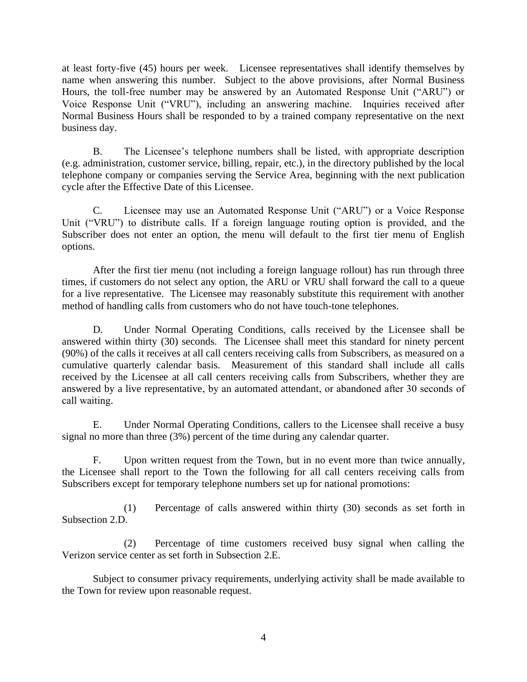at least forty-five (45) hours per week. Licensee representatives shall identify themselves by name when answering this number. Subject to the above provisions, after Normal Business Hours, the toll-free number may be answered by an Automated Response Unit ("ARU") or Voice Response Unit ("VRU"), including an answering machine. Inquiries received after Normal Business Hours shall be responded to by a trained company representative on the next business day.

B. The Licensee's telephone numbers shall be listed, with appropriate description (e.g. administration, customer service, billing, repair, etc.), in the directory published by the local telephone company or companies serving the Service Area, beginning with the next publication cycle after the Effective Date of this Licensee.

C. Licensee may use an Automated Response Unit ("ARU") or a Voice Response Unit ("VRU") to distribute calls. If a foreign language routing option is provided, and the Subscriber does not enter an option, the menu will default to the first tier menu of English options.

After the first tier menu (not including a foreign language rollout) has run through three times, if customers do not select any option, the ARU or VRU shall forward the call to a queue for a live representative. The Licensee may reasonably substitute this requirement with another method of handling calls from customers who do not have touch-tone telephones.

D. Under Normal Operating Conditions, calls received by the Licensee shall be answered within thirty (30) seconds. The Licensee shall meet this standard for ninety percent (90%) of the calls it receives at all call centers receiving calls from Subscribers, as measured on a cumulative quarterly calendar basis. Measurement of this standard shall include all calls received by the Licensee at all call centers receiving calls from Subscribers, whether they are answered by a live representative, by an automated attendant, or abandoned after 30 seconds of call waiting.

E. Under Normal Operating Conditions, callers to the Licensee shall receive a busy signal no more than three (3%) percent of the time during any calendar quarter.

F. Upon written request from the Town, but in no event more than twice annually, the Licensee shall report to the Town the following for all call centers receiving calls from Subscribers except for temporary telephone numbers set up for national promotions:

(1) Percentage of calls answered within thirty (30) seconds as set forth in Subsection 2.D.

(2) Percentage of time customers received busy signal when calling the Verizon service center as set forth in Subsection 2.E.

Subject to consumer privacy requirements, underlying activity shall be made available to the Town for review upon reasonable request.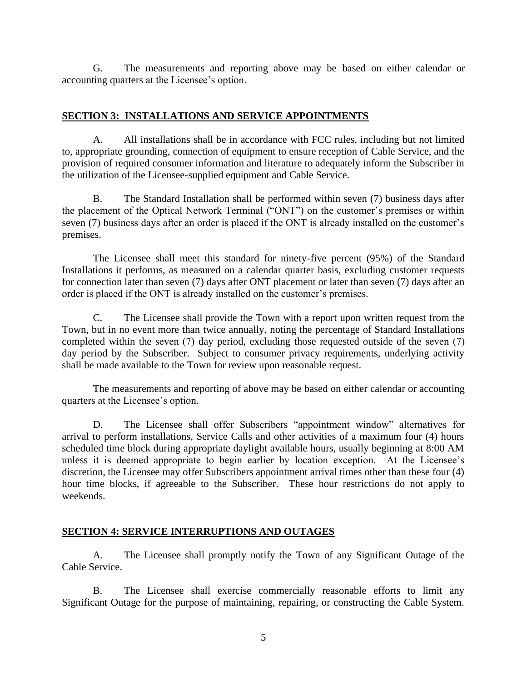G. The measurements and reporting above may be based on either calendar or accounting quarters at the Licensee's option.

### **SECTION 3: INSTALLATIONS AND SERVICE APPOINTMENTS**

A. All installations shall be in accordance with FCC rules, including but not limited to, appropriate grounding, connection of equipment to ensure reception of Cable Service, and the provision of required consumer information and literature to adequately inform the Subscriber in the utilization of the Licensee-supplied equipment and Cable Service.

B. The Standard Installation shall be performed within seven (7) business days after the placement of the Optical Network Terminal ("ONT") on the customer's premises or within seven (7) business days after an order is placed if the ONT is already installed on the customer's premises.

The Licensee shall meet this standard for ninety-five percent (95%) of the Standard Installations it performs, as measured on a calendar quarter basis, excluding customer requests for connection later than seven (7) days after ONT placement or later than seven (7) days after an order is placed if the ONT is already installed on the customer's premises.

C. The Licensee shall provide the Town with a report upon written request from the Town, but in no event more than twice annually, noting the percentage of Standard Installations completed within the seven (7) day period, excluding those requested outside of the seven (7) day period by the Subscriber. Subject to consumer privacy requirements, underlying activity shall be made available to the Town for review upon reasonable request.

The measurements and reporting of above may be based on either calendar or accounting quarters at the Licensee's option.

D. The Licensee shall offer Subscribers "appointment window" alternatives for arrival to perform installations, Service Calls and other activities of a maximum four (4) hours scheduled time block during appropriate daylight available hours, usually beginning at 8:00 AM unless it is deemed appropriate to begin earlier by location exception. At the Licensee's discretion, the Licensee may offer Subscribers appointment arrival times other than these four (4) hour time blocks, if agreeable to the Subscriber. These hour restrictions do not apply to weekends.

## **SECTION 4: SERVICE INTERRUPTIONS AND OUTAGES**

A. The Licensee shall promptly notify the Town of any Significant Outage of the Cable Service.

B. The Licensee shall exercise commercially reasonable efforts to limit any Significant Outage for the purpose of maintaining, repairing, or constructing the Cable System.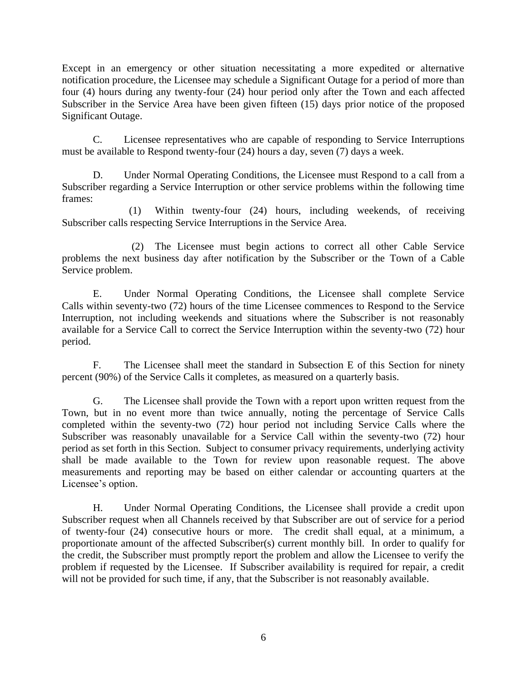Except in an emergency or other situation necessitating a more expedited or alternative notification procedure, the Licensee may schedule a Significant Outage for a period of more than four (4) hours during any twenty-four (24) hour period only after the Town and each affected Subscriber in the Service Area have been given fifteen (15) days prior notice of the proposed Significant Outage.

C. Licensee representatives who are capable of responding to Service Interruptions must be available to Respond twenty-four (24) hours a day, seven (7) days a week.

D. Under Normal Operating Conditions, the Licensee must Respond to a call from a Subscriber regarding a Service Interruption or other service problems within the following time frames:

(1) Within twenty-four (24) hours, including weekends, of receiving Subscriber calls respecting Service Interruptions in the Service Area.

(2) The Licensee must begin actions to correct all other Cable Service problems the next business day after notification by the Subscriber or the Town of a Cable Service problem.

E. Under Normal Operating Conditions, the Licensee shall complete Service Calls within seventy-two (72) hours of the time Licensee commences to Respond to the Service Interruption, not including weekends and situations where the Subscriber is not reasonably available for a Service Call to correct the Service Interruption within the seventy-two (72) hour period.

F. The Licensee shall meet the standard in Subsection E of this Section for ninety percent (90%) of the Service Calls it completes, as measured on a quarterly basis.

G. The Licensee shall provide the Town with a report upon written request from the Town, but in no event more than twice annually, noting the percentage of Service Calls completed within the seventy-two (72) hour period not including Service Calls where the Subscriber was reasonably unavailable for a Service Call within the seventy-two (72) hour period as set forth in this Section. Subject to consumer privacy requirements, underlying activity shall be made available to the Town for review upon reasonable request. The above measurements and reporting may be based on either calendar or accounting quarters at the Licensee's option.

H. Under Normal Operating Conditions, the Licensee shall provide a credit upon Subscriber request when all Channels received by that Subscriber are out of service for a period of twenty-four (24) consecutive hours or more. The credit shall equal, at a minimum, a proportionate amount of the affected Subscriber(s) current monthly bill. In order to qualify for the credit, the Subscriber must promptly report the problem and allow the Licensee to verify the problem if requested by the Licensee. If Subscriber availability is required for repair, a credit will not be provided for such time, if any, that the Subscriber is not reasonably available.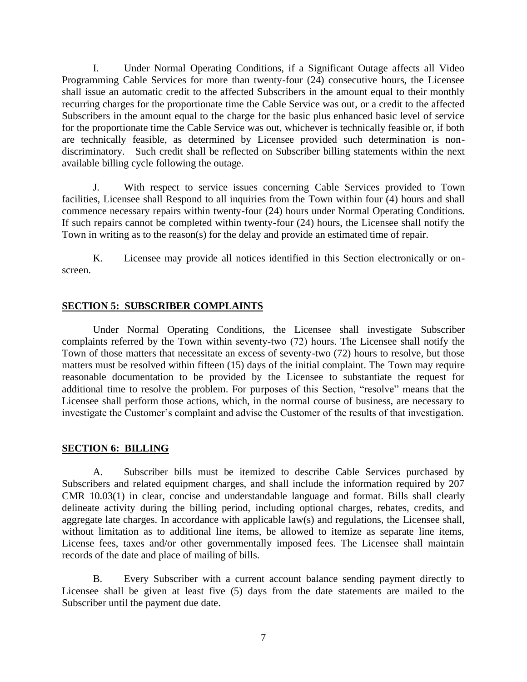I. Under Normal Operating Conditions, if a Significant Outage affects all Video Programming Cable Services for more than twenty-four (24) consecutive hours, the Licensee shall issue an automatic credit to the affected Subscribers in the amount equal to their monthly recurring charges for the proportionate time the Cable Service was out, or a credit to the affected Subscribers in the amount equal to the charge for the basic plus enhanced basic level of service for the proportionate time the Cable Service was out, whichever is technically feasible or, if both are technically feasible, as determined by Licensee provided such determination is nondiscriminatory. Such credit shall be reflected on Subscriber billing statements within the next available billing cycle following the outage.

J. With respect to service issues concerning Cable Services provided to Town facilities, Licensee shall Respond to all inquiries from the Town within four (4) hours and shall commence necessary repairs within twenty-four (24) hours under Normal Operating Conditions. If such repairs cannot be completed within twenty-four (24) hours, the Licensee shall notify the Town in writing as to the reason(s) for the delay and provide an estimated time of repair.

K. Licensee may provide all notices identified in this Section electronically or onscreen.

### **SECTION 5: SUBSCRIBER COMPLAINTS**

Under Normal Operating Conditions, the Licensee shall investigate Subscriber complaints referred by the Town within seventy-two (72) hours. The Licensee shall notify the Town of those matters that necessitate an excess of seventy-two (72) hours to resolve, but those matters must be resolved within fifteen (15) days of the initial complaint. The Town may require reasonable documentation to be provided by the Licensee to substantiate the request for additional time to resolve the problem. For purposes of this Section, "resolve" means that the Licensee shall perform those actions, which, in the normal course of business, are necessary to investigate the Customer's complaint and advise the Customer of the results of that investigation.

### **SECTION 6: BILLING**

A. Subscriber bills must be itemized to describe Cable Services purchased by Subscribers and related equipment charges, and shall include the information required by 207 CMR 10.03(1) in clear, concise and understandable language and format. Bills shall clearly delineate activity during the billing period, including optional charges, rebates, credits, and aggregate late charges. In accordance with applicable law(s) and regulations, the Licensee shall, without limitation as to additional line items, be allowed to itemize as separate line items, License fees, taxes and/or other governmentally imposed fees. The Licensee shall maintain records of the date and place of mailing of bills.

B. Every Subscriber with a current account balance sending payment directly to Licensee shall be given at least five (5) days from the date statements are mailed to the Subscriber until the payment due date.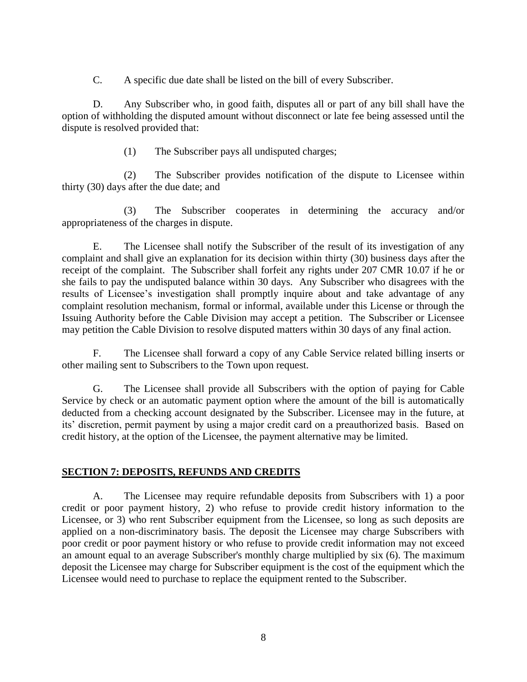C. A specific due date shall be listed on the bill of every Subscriber.

D. Any Subscriber who, in good faith, disputes all or part of any bill shall have the option of withholding the disputed amount without disconnect or late fee being assessed until the dispute is resolved provided that:

(1) The Subscriber pays all undisputed charges;

(2) The Subscriber provides notification of the dispute to Licensee within thirty (30) days after the due date; and

(3) The Subscriber cooperates in determining the accuracy and/or appropriateness of the charges in dispute.

E. The Licensee shall notify the Subscriber of the result of its investigation of any complaint and shall give an explanation for its decision within thirty (30) business days after the receipt of the complaint. The Subscriber shall forfeit any rights under 207 CMR 10.07 if he or she fails to pay the undisputed balance within 30 days. Any Subscriber who disagrees with the results of Licensee's investigation shall promptly inquire about and take advantage of any complaint resolution mechanism, formal or informal, available under this License or through the Issuing Authority before the Cable Division may accept a petition. The Subscriber or Licensee may petition the Cable Division to resolve disputed matters within 30 days of any final action.

F. The Licensee shall forward a copy of any Cable Service related billing inserts or other mailing sent to Subscribers to the Town upon request.

G. The Licensee shall provide all Subscribers with the option of paying for Cable Service by check or an automatic payment option where the amount of the bill is automatically deducted from a checking account designated by the Subscriber. Licensee may in the future, at its' discretion, permit payment by using a major credit card on a preauthorized basis. Based on credit history, at the option of the Licensee, the payment alternative may be limited.

## **SECTION 7: DEPOSITS, REFUNDS AND CREDITS**

A. The Licensee may require refundable deposits from Subscribers with 1) a poor credit or poor payment history, 2) who refuse to provide credit history information to the Licensee, or 3) who rent Subscriber equipment from the Licensee, so long as such deposits are applied on a non-discriminatory basis. The deposit the Licensee may charge Subscribers with poor credit or poor payment history or who refuse to provide credit information may not exceed an amount equal to an average Subscriber's monthly charge multiplied by six (6). The maximum deposit the Licensee may charge for Subscriber equipment is the cost of the equipment which the Licensee would need to purchase to replace the equipment rented to the Subscriber.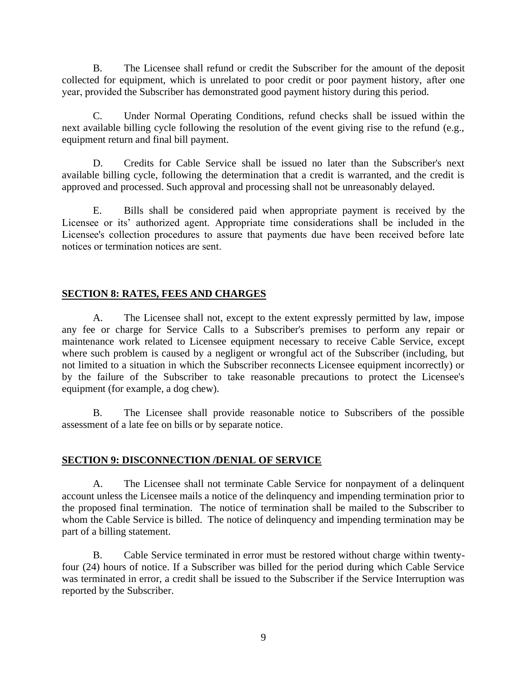B. The Licensee shall refund or credit the Subscriber for the amount of the deposit collected for equipment, which is unrelated to poor credit or poor payment history, after one year, provided the Subscriber has demonstrated good payment history during this period.

C. Under Normal Operating Conditions, refund checks shall be issued within the next available billing cycle following the resolution of the event giving rise to the refund (e.g., equipment return and final bill payment.

D. Credits for Cable Service shall be issued no later than the Subscriber's next available billing cycle, following the determination that a credit is warranted, and the credit is approved and processed. Such approval and processing shall not be unreasonably delayed.

E. Bills shall be considered paid when appropriate payment is received by the Licensee or its' authorized agent. Appropriate time considerations shall be included in the Licensee's collection procedures to assure that payments due have been received before late notices or termination notices are sent.

### **SECTION 8: RATES, FEES AND CHARGES**

A. The Licensee shall not, except to the extent expressly permitted by law, impose any fee or charge for Service Calls to a Subscriber's premises to perform any repair or maintenance work related to Licensee equipment necessary to receive Cable Service, except where such problem is caused by a negligent or wrongful act of the Subscriber (including, but not limited to a situation in which the Subscriber reconnects Licensee equipment incorrectly) or by the failure of the Subscriber to take reasonable precautions to protect the Licensee's equipment (for example, a dog chew).

B. The Licensee shall provide reasonable notice to Subscribers of the possible assessment of a late fee on bills or by separate notice.

### **SECTION 9: DISCONNECTION /DENIAL OF SERVICE**

A. The Licensee shall not terminate Cable Service for nonpayment of a delinquent account unless the Licensee mails a notice of the delinquency and impending termination prior to the proposed final termination. The notice of termination shall be mailed to the Subscriber to whom the Cable Service is billed. The notice of delinquency and impending termination may be part of a billing statement.

B. Cable Service terminated in error must be restored without charge within twentyfour (24) hours of notice. If a Subscriber was billed for the period during which Cable Service was terminated in error, a credit shall be issued to the Subscriber if the Service Interruption was reported by the Subscriber.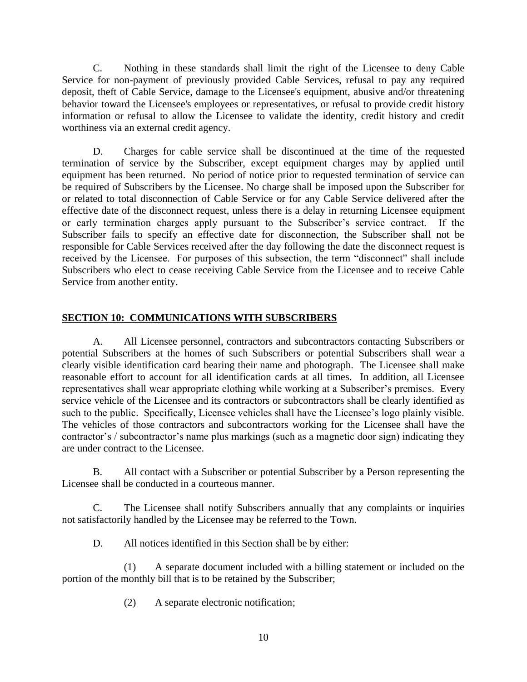C. Nothing in these standards shall limit the right of the Licensee to deny Cable Service for non-payment of previously provided Cable Services, refusal to pay any required deposit, theft of Cable Service, damage to the Licensee's equipment, abusive and/or threatening behavior toward the Licensee's employees or representatives, or refusal to provide credit history information or refusal to allow the Licensee to validate the identity, credit history and credit worthiness via an external credit agency.

D. Charges for cable service shall be discontinued at the time of the requested termination of service by the Subscriber, except equipment charges may by applied until equipment has been returned. No period of notice prior to requested termination of service can be required of Subscribers by the Licensee. No charge shall be imposed upon the Subscriber for or related to total disconnection of Cable Service or for any Cable Service delivered after the effective date of the disconnect request, unless there is a delay in returning Licensee equipment or early termination charges apply pursuant to the Subscriber's service contract. If the Subscriber fails to specify an effective date for disconnection, the Subscriber shall not be responsible for Cable Services received after the day following the date the disconnect request is received by the Licensee. For purposes of this subsection, the term "disconnect" shall include Subscribers who elect to cease receiving Cable Service from the Licensee and to receive Cable Service from another entity.

## **SECTION 10: COMMUNICATIONS WITH SUBSCRIBERS**

A. All Licensee personnel, contractors and subcontractors contacting Subscribers or potential Subscribers at the homes of such Subscribers or potential Subscribers shall wear a clearly visible identification card bearing their name and photograph. The Licensee shall make reasonable effort to account for all identification cards at all times. In addition, all Licensee representatives shall wear appropriate clothing while working at a Subscriber's premises. Every service vehicle of the Licensee and its contractors or subcontractors shall be clearly identified as such to the public. Specifically, Licensee vehicles shall have the Licensee's logo plainly visible. The vehicles of those contractors and subcontractors working for the Licensee shall have the contractor's / subcontractor's name plus markings (such as a magnetic door sign) indicating they are under contract to the Licensee.

B. All contact with a Subscriber or potential Subscriber by a Person representing the Licensee shall be conducted in a courteous manner.

C. The Licensee shall notify Subscribers annually that any complaints or inquiries not satisfactorily handled by the Licensee may be referred to the Town.

D. All notices identified in this Section shall be by either:

(1) A separate document included with a billing statement or included on the portion of the monthly bill that is to be retained by the Subscriber;

(2) A separate electronic notification;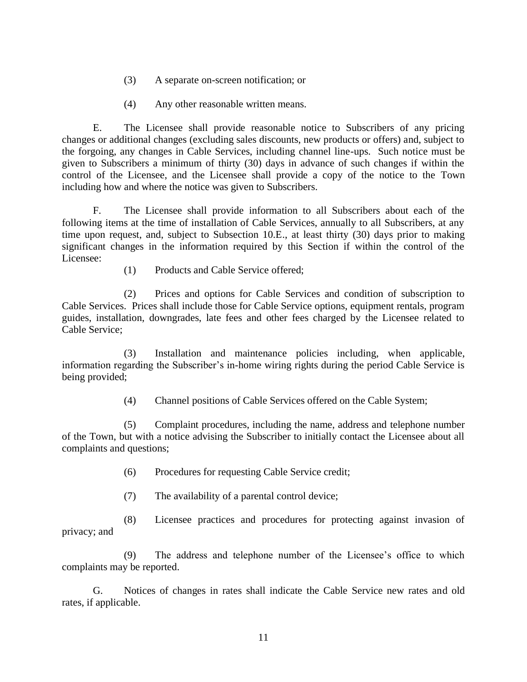- (3) A separate on-screen notification; or
- (4) Any other reasonable written means.

E. The Licensee shall provide reasonable notice to Subscribers of any pricing changes or additional changes (excluding sales discounts, new products or offers) and, subject to the forgoing, any changes in Cable Services, including channel line-ups. Such notice must be given to Subscribers a minimum of thirty (30) days in advance of such changes if within the control of the Licensee, and the Licensee shall provide a copy of the notice to the Town including how and where the notice was given to Subscribers.

F. The Licensee shall provide information to all Subscribers about each of the following items at the time of installation of Cable Services, annually to all Subscribers, at any time upon request, and, subject to Subsection 10.E., at least thirty (30) days prior to making significant changes in the information required by this Section if within the control of the Licensee:

(1) Products and Cable Service offered;

(2) Prices and options for Cable Services and condition of subscription to Cable Services. Prices shall include those for Cable Service options, equipment rentals, program guides, installation, downgrades, late fees and other fees charged by the Licensee related to Cable Service;

(3) Installation and maintenance policies including, when applicable, information regarding the Subscriber's in-home wiring rights during the period Cable Service is being provided;

(4) Channel positions of Cable Services offered on the Cable System;

(5) Complaint procedures, including the name, address and telephone number of the Town, but with a notice advising the Subscriber to initially contact the Licensee about all complaints and questions;

- (6) Procedures for requesting Cable Service credit;
- (7) The availability of a parental control device;

(8) Licensee practices and procedures for protecting against invasion of privacy; and

(9) The address and telephone number of the Licensee's office to which complaints may be reported.

G. Notices of changes in rates shall indicate the Cable Service new rates and old rates, if applicable.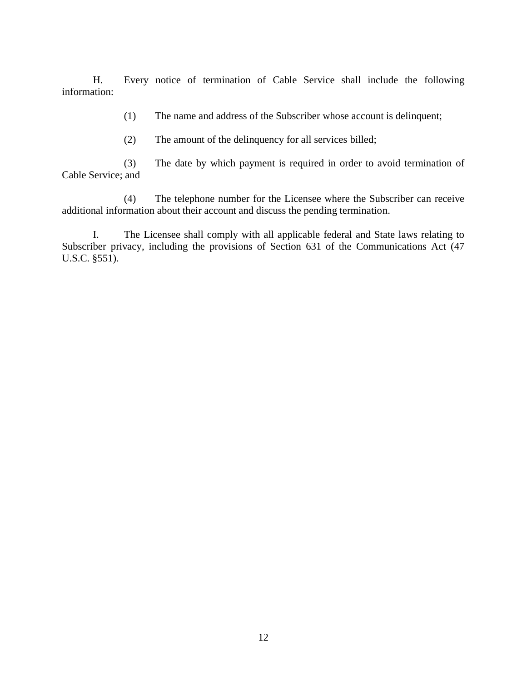H. Every notice of termination of Cable Service shall include the following information:

(1) The name and address of the Subscriber whose account is delinquent;

(2) The amount of the delinquency for all services billed;

(3) The date by which payment is required in order to avoid termination of Cable Service; and

(4) The telephone number for the Licensee where the Subscriber can receive additional information about their account and discuss the pending termination.

I. The Licensee shall comply with all applicable federal and State laws relating to Subscriber privacy, including the provisions of Section 631 of the Communications Act (47 U.S.C. §551).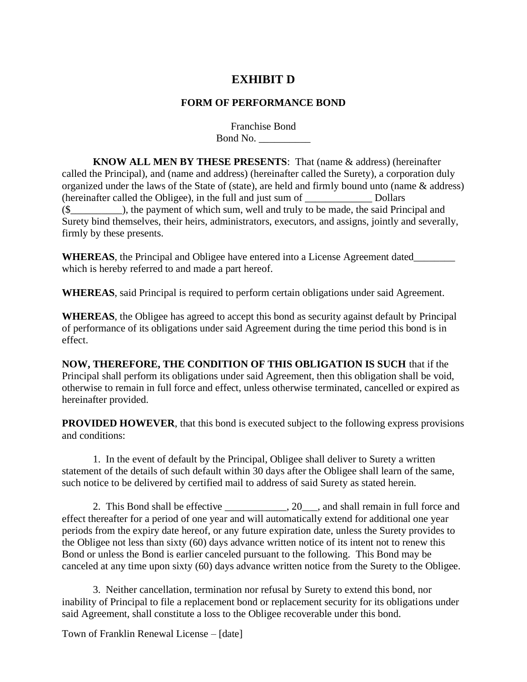# **EXHIBIT D**

### **FORM OF PERFORMANCE BOND**

Franchise Bond Bond No. \_\_\_\_\_\_\_\_\_\_

**KNOW ALL MEN BY THESE PRESENTS**: That (name & address) (hereinafter called the Principal), and (name and address) (hereinafter called the Surety), a corporation duly organized under the laws of the State of (state), are held and firmly bound unto (name & address) (hereinafter called the Obligee), in the full and just sum of \_\_\_\_\_\_\_\_\_\_\_\_\_ Dollars (\$\_\_\_\_\_\_\_\_\_\_), the payment of which sum, well and truly to be made, the said Principal and Surety bind themselves, their heirs, administrators, executors, and assigns, jointly and severally, firmly by these presents.

**WHEREAS**, the Principal and Obligee have entered into a License Agreement dated\_\_\_\_\_\_\_\_ which is hereby referred to and made a part hereof.

**WHEREAS**, said Principal is required to perform certain obligations under said Agreement.

**WHEREAS**, the Obligee has agreed to accept this bond as security against default by Principal of performance of its obligations under said Agreement during the time period this bond is in effect.

**NOW, THEREFORE, THE CONDITION OF THIS OBLIGATION IS SUCH** that if the Principal shall perform its obligations under said Agreement, then this obligation shall be void, otherwise to remain in full force and effect, unless otherwise terminated, cancelled or expired as hereinafter provided.

**PROVIDED HOWEVER**, that this bond is executed subject to the following express provisions and conditions:

1. In the event of default by the Principal, Obligee shall deliver to Surety a written statement of the details of such default within 30 days after the Obligee shall learn of the same, such notice to be delivered by certified mail to address of said Surety as stated herein.

2. This Bond shall be effective \_\_\_\_\_\_\_\_\_\_, 20\_\_\_, and shall remain in full force and effect thereafter for a period of one year and will automatically extend for additional one year periods from the expiry date hereof, or any future expiration date, unless the Surety provides to the Obligee not less than sixty (60) days advance written notice of its intent not to renew this Bond or unless the Bond is earlier canceled pursuant to the following. This Bond may be canceled at any time upon sixty (60) days advance written notice from the Surety to the Obligee.

3. Neither cancellation, termination nor refusal by Surety to extend this bond, nor inability of Principal to file a replacement bond or replacement security for its obligations under said Agreement, shall constitute a loss to the Obligee recoverable under this bond.

Town of Franklin Renewal License – [date]